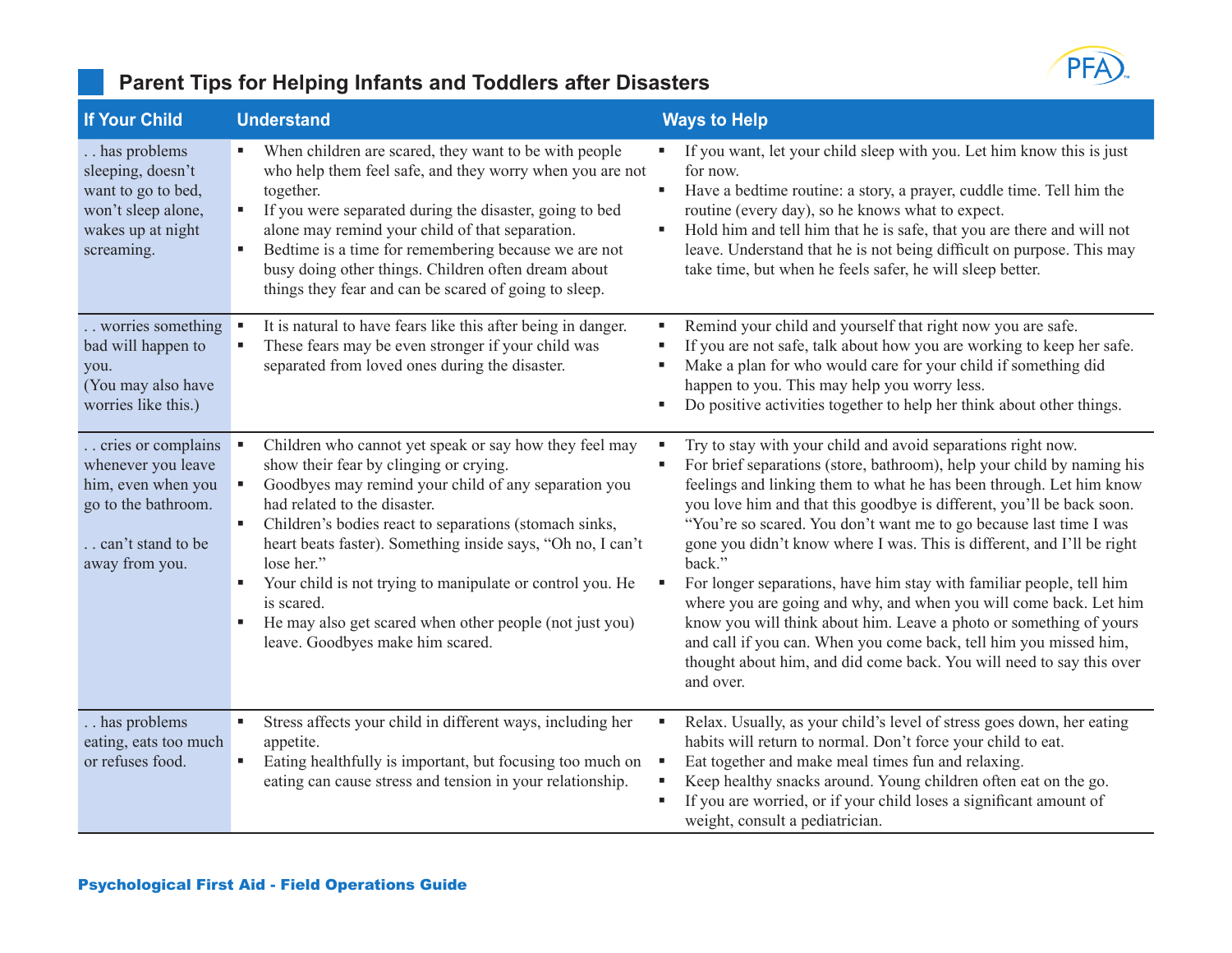

### **Parent Tips for Helping Infants and Toddlers after Disasters**

| <b>If Your Child</b>                                                                                                           | <b>Understand</b>                                                                                                                                                                                                                                                                                                                                                                                                                                                                                                        | <b>Ways to Help</b>                                                                                                                                                                                                                                                                                                                                                                                                                                                                                                                                                                                                                                                                                                                                                                                                           |
|--------------------------------------------------------------------------------------------------------------------------------|--------------------------------------------------------------------------------------------------------------------------------------------------------------------------------------------------------------------------------------------------------------------------------------------------------------------------------------------------------------------------------------------------------------------------------------------------------------------------------------------------------------------------|-------------------------------------------------------------------------------------------------------------------------------------------------------------------------------------------------------------------------------------------------------------------------------------------------------------------------------------------------------------------------------------------------------------------------------------------------------------------------------------------------------------------------------------------------------------------------------------------------------------------------------------------------------------------------------------------------------------------------------------------------------------------------------------------------------------------------------|
| has problems<br>sleeping, doesn't<br>want to go to bed,<br>won't sleep alone,<br>wakes up at night<br>screaming.               | When children are scared, they want to be with people<br>٠<br>who help them feel safe, and they worry when you are not<br>together.<br>If you were separated during the disaster, going to bed<br>٠<br>alone may remind your child of that separation.<br>Bedtime is a time for remembering because we are not<br>busy doing other things. Children often dream about<br>things they fear and can be scared of going to sleep.                                                                                           | If you want, let your child sleep with you. Let him know this is just<br>for now.<br>Have a bedtime routine: a story, a prayer, cuddle time. Tell him the<br>routine (every day), so he knows what to expect.<br>Hold him and tell him that he is safe, that you are there and will not<br>leave. Understand that he is not being difficult on purpose. This may<br>take time, but when he feels safer, he will sleep better.                                                                                                                                                                                                                                                                                                                                                                                                 |
| worries something<br>bad will happen to<br>you.<br>(You may also have<br>worries like this.)                                   | It is natural to have fears like this after being in danger.<br>٠<br>These fears may be even stronger if your child was<br>٠<br>separated from loved ones during the disaster.                                                                                                                                                                                                                                                                                                                                           | Remind your child and yourself that right now you are safe.<br>л<br>If you are not safe, talk about how you are working to keep her safe.<br>Make a plan for who would care for your child if something did<br>happen to you. This may help you worry less.<br>Do positive activities together to help her think about other things.                                                                                                                                                                                                                                                                                                                                                                                                                                                                                          |
| . cries or complains<br>whenever you leave<br>him, even when you<br>go to the bathroom.<br>can't stand to be<br>away from you. | Children who cannot yet speak or say how they feel may<br>٠<br>show their fear by clinging or crying.<br>Goodbyes may remind your child of any separation you<br>had related to the disaster.<br>Children's bodies react to separations (stomach sinks,<br>٠<br>heart beats faster). Something inside says, "Oh no, I can't<br>lose her."<br>Your child is not trying to manipulate or control you. He<br>is scared.<br>He may also get scared when other people (not just you)<br>٠<br>leave. Goodbyes make him scared. | Try to stay with your child and avoid separations right now.<br>For brief separations (store, bathroom), help your child by naming his<br>feelings and linking them to what he has been through. Let him know<br>you love him and that this goodbye is different, you'll be back soon.<br>"You're so scared. You don't want me to go because last time I was<br>gone you didn't know where I was. This is different, and I'll be right<br>back."<br>For longer separations, have him stay with familiar people, tell him<br>where you are going and why, and when you will come back. Let him<br>know you will think about him. Leave a photo or something of yours<br>and call if you can. When you come back, tell him you missed him,<br>thought about him, and did come back. You will need to say this over<br>and over. |
| . has problems<br>eating, eats too much<br>or refuses food.                                                                    | Stress affects your child in different ways, including her<br>٠<br>appetite.<br>Eating healthfully is important, but focusing too much on<br>٠<br>eating can cause stress and tension in your relationship.                                                                                                                                                                                                                                                                                                              | Relax. Usually, as your child's level of stress goes down, her eating<br>habits will return to normal. Don't force your child to eat.<br>Eat together and make meal times fun and relaxing.<br>۹<br>Keep healthy snacks around. Young children often eat on the go.<br>If you are worried, or if your child loses a significant amount of<br>weight, consult a pediatrician.                                                                                                                                                                                                                                                                                                                                                                                                                                                  |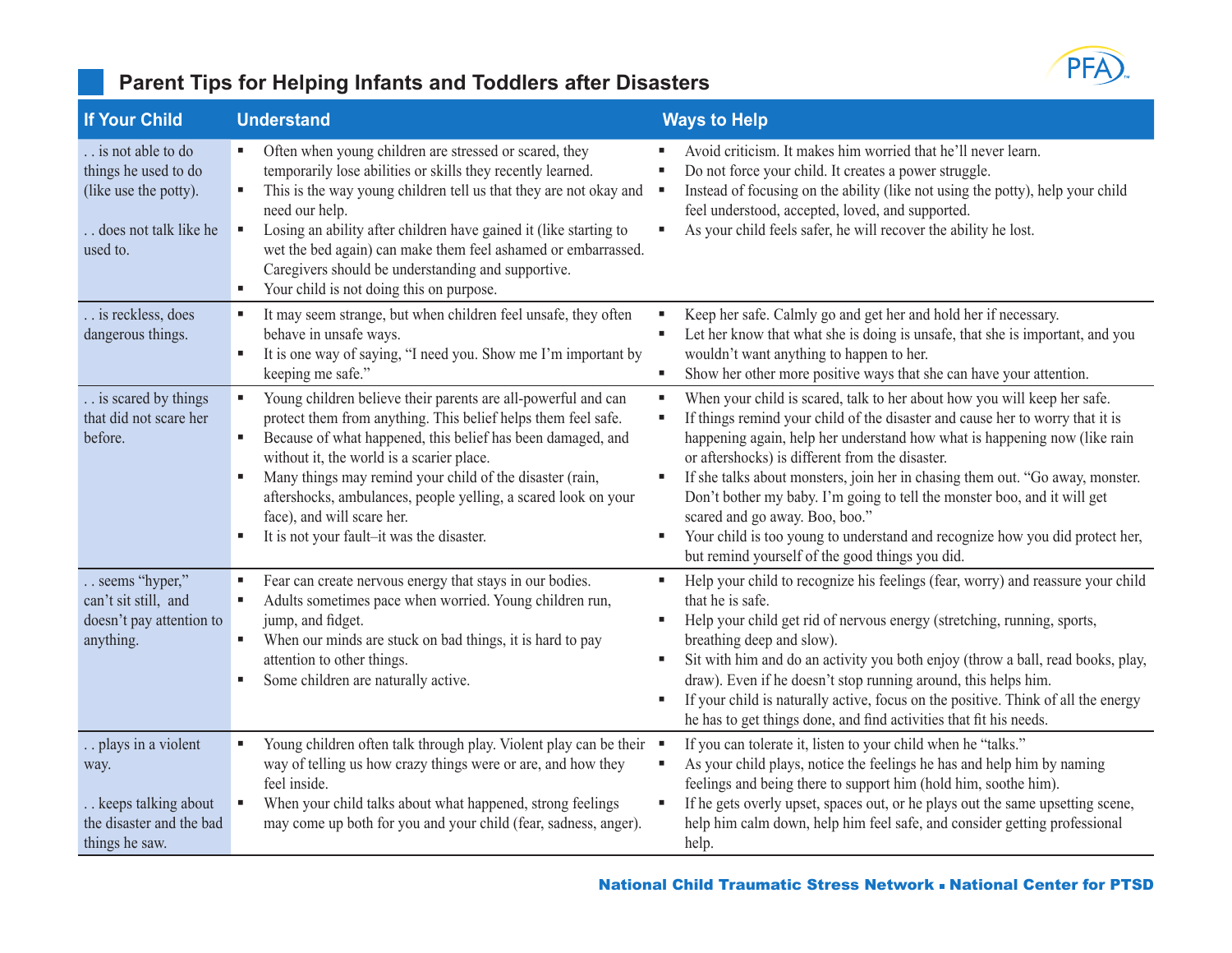

### **Parent Tips for Helping Infants and Toddlers after Disasters**

| <b>If Your Child</b>                                                                                      | <b>Understand</b>                                                                                                                                                                                                                                                                                                                                                                                                                                                   | <b>Ways to Help</b>                                                                                                                                                                                                                                                                                                                                                                                                                                                                                                                                                                                                                             |
|-----------------------------------------------------------------------------------------------------------|---------------------------------------------------------------------------------------------------------------------------------------------------------------------------------------------------------------------------------------------------------------------------------------------------------------------------------------------------------------------------------------------------------------------------------------------------------------------|-------------------------------------------------------------------------------------------------------------------------------------------------------------------------------------------------------------------------------------------------------------------------------------------------------------------------------------------------------------------------------------------------------------------------------------------------------------------------------------------------------------------------------------------------------------------------------------------------------------------------------------------------|
| . is not able to do<br>things he used to do<br>(like use the potty).<br>does not talk like he<br>used to. | Often when young children are stressed or scared, they<br>temporarily lose abilities or skills they recently learned.<br>This is the way young children tell us that they are not okay and<br>٠<br>need our help.<br>Losing an ability after children have gained it (like starting to<br>٠<br>wet the bed again) can make them feel ashamed or embarrassed.<br>Caregivers should be understanding and supportive.<br>Your child is not doing this on purpose.<br>٠ | Avoid criticism. It makes him worried that he'll never learn.<br>Do not force your child. It creates a power struggle.<br>٥<br>Instead of focusing on the ability (like not using the potty), help your child<br>л<br>feel understood, accepted, loved, and supported.<br>As your child feels safer, he will recover the ability he lost.<br>۵                                                                                                                                                                                                                                                                                                  |
| . is reckless, does<br>dangerous things.                                                                  | It may seem strange, but when children feel unsafe, they often<br>٠<br>behave in unsafe ways.<br>It is one way of saying, "I need you. Show me I'm important by<br>keeping me safe."                                                                                                                                                                                                                                                                                | Keep her safe. Calmly go and get her and hold her if necessary.<br>٠<br>Let her know that what she is doing is unsafe, that she is important, and you<br>٠<br>wouldn't want anything to happen to her.<br>Show her other more positive ways that she can have your attention.<br>٠                                                                                                                                                                                                                                                                                                                                                              |
| is scared by things<br>that did not scare her<br>before.                                                  | Young children believe their parents are all-powerful and can<br>protect them from anything. This belief helps them feel safe.<br>Because of what happened, this belief has been damaged, and<br>٠<br>without it, the world is a scarier place.<br>Many things may remind your child of the disaster (rain,<br>Е<br>aftershocks, ambulances, people yelling, a scared look on your<br>face), and will scare her.<br>It is not your fault-it was the disaster.<br>٠  | When your child is scared, talk to her about how you will keep her safe.<br>٠<br>If things remind your child of the disaster and cause her to worry that it is<br>٠<br>happening again, help her understand how what is happening now (like rain<br>or aftershocks) is different from the disaster.<br>If she talks about monsters, join her in chasing them out. "Go away, monster.<br>٠<br>Don't bother my baby. I'm going to tell the monster boo, and it will get<br>scared and go away. Boo, boo."<br>Your child is too young to understand and recognize how you did protect her,<br>٠<br>but remind yourself of the good things you did. |
| seems "hyper,"<br>can't sit still, and<br>doesn't pay attention to<br>anything.                           | Fear can create nervous energy that stays in our bodies.<br>٠<br>Adults sometimes pace when worried. Young children run,<br>٠<br>jump, and fidget.<br>When our minds are stuck on bad things, it is hard to pay<br>٠<br>attention to other things.<br>Some children are naturally active.<br>ш                                                                                                                                                                      | Help your child to recognize his feelings (fear, worry) and reassure your child<br>٠<br>that he is safe.<br>Help your child get rid of nervous energy (stretching, running, sports,<br>٠<br>breathing deep and slow).<br>Sit with him and do an activity you both enjoy (throw a ball, read books, play,<br>٠<br>draw). Even if he doesn't stop running around, this helps him.<br>If your child is naturally active, focus on the positive. Think of all the energy<br>٠<br>he has to get things done, and find activities that fit his needs.                                                                                                 |
| . plays in a violent<br>way.<br>keeps talking about<br>the disaster and the bad<br>things he saw.         | Young children often talk through play. Violent play can be their •<br>way of telling us how crazy things were or are, and how they<br>feel inside.<br>When your child talks about what happened, strong feelings<br>may come up both for you and your child (fear, sadness, anger).                                                                                                                                                                                | If you can tolerate it, listen to your child when he "talks."<br>As your child plays, notice the feelings he has and help him by naming<br>٠<br>feelings and being there to support him (hold him, soothe him).<br>If he gets overly upset, spaces out, or he plays out the same upsetting scene,<br>٠<br>help him calm down, help him feel safe, and consider getting professional<br>help.                                                                                                                                                                                                                                                    |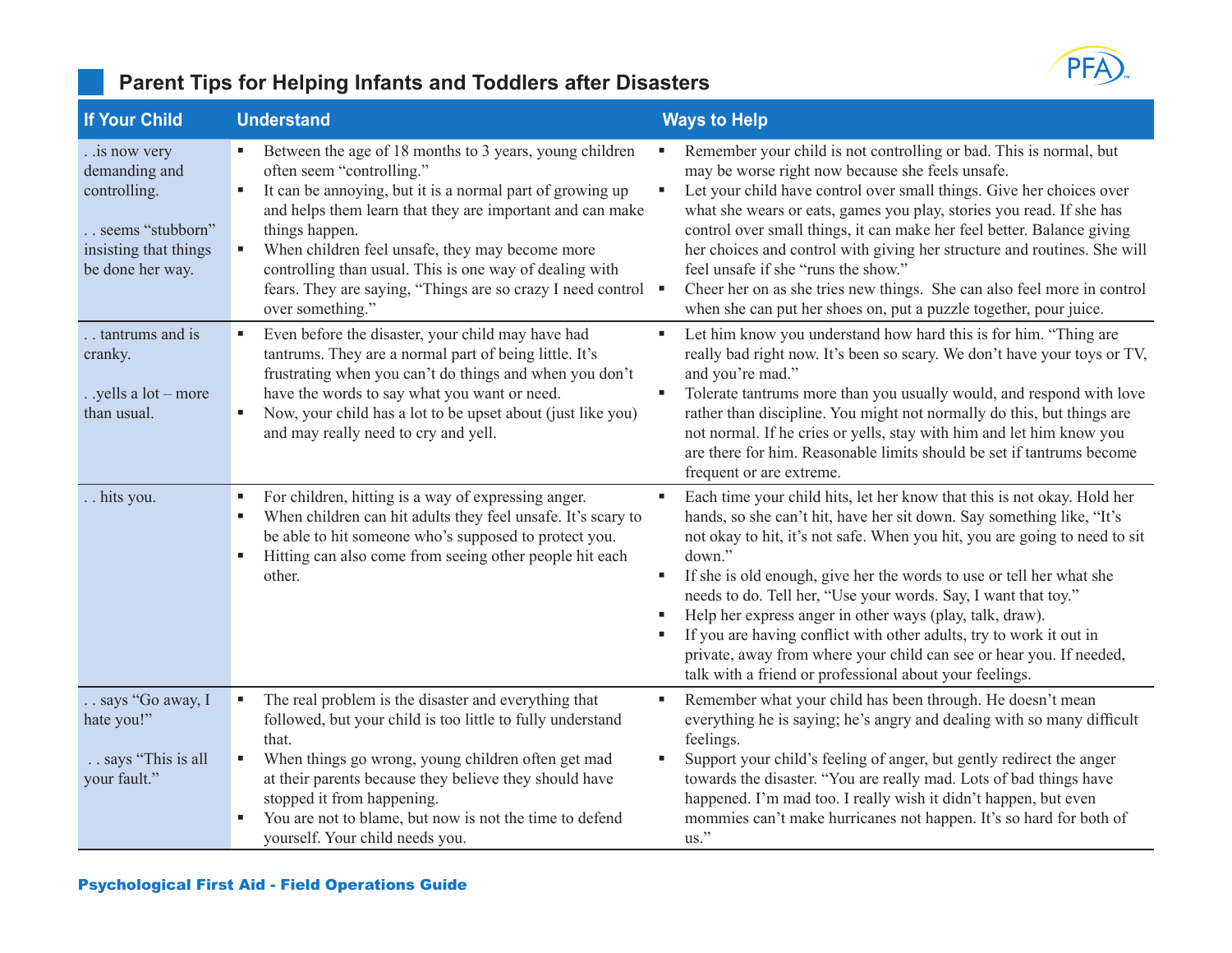

| <b>If Your Child</b>                                                                                               | <b>Understand</b>                                                                                                                                                                                                                                                                                                                                                                                                                             | <b>Ways to Help</b>                                                                                                                                                                                                                                                                                                                                                                                                                                                                                                                                                                                                                                                         |
|--------------------------------------------------------------------------------------------------------------------|-----------------------------------------------------------------------------------------------------------------------------------------------------------------------------------------------------------------------------------------------------------------------------------------------------------------------------------------------------------------------------------------------------------------------------------------------|-----------------------------------------------------------------------------------------------------------------------------------------------------------------------------------------------------------------------------------------------------------------------------------------------------------------------------------------------------------------------------------------------------------------------------------------------------------------------------------------------------------------------------------------------------------------------------------------------------------------------------------------------------------------------------|
| . .is now very<br>demanding and<br>controlling.<br>. seems "stubborn"<br>insisting that things<br>be done her way. | Between the age of 18 months to 3 years, young children<br>often seem "controlling."<br>It can be annoying, but it is a normal part of growing up<br>٠<br>and helps them learn that they are important and can make<br>things happen.<br>When children feel unsafe, they may become more<br>٠<br>controlling than usual. This is one way of dealing with<br>fears. They are saying, "Things are so crazy I need control "<br>over something." | Remember your child is not controlling or bad. This is normal, but<br>may be worse right now because she feels unsafe.<br>Let your child have control over small things. Give her choices over<br>٠<br>what she wears or eats, games you play, stories you read. If she has<br>control over small things, it can make her feel better. Balance giving<br>her choices and control with giving her structure and routines. She will<br>feel unsafe if she "runs the show."<br>Cheer her on as she tries new things. She can also feel more in control<br>when she can put her shoes on, put a puzzle together, pour juice.                                                    |
| . tantrums and is<br>cranky.<br>. .yells a lot – more<br>than usual.                                               | Even before the disaster, your child may have had<br>٠<br>tantrums. They are a normal part of being little. It's<br>frustrating when you can't do things and when you don't<br>have the words to say what you want or need.<br>Now, your child has a lot to be upset about (just like you)<br>and may really need to cry and yell.                                                                                                            | Let him know you understand how hard this is for him. "Thing are<br>٠<br>really bad right now. It's been so scary. We don't have your toys or TV,<br>and you're mad."<br>Tolerate tantrums more than you usually would, and respond with love<br>٠<br>rather than discipline. You might not normally do this, but things are<br>not normal. If he cries or yells, stay with him and let him know you<br>are there for him. Reasonable limits should be set if tantrums become<br>frequent or are extreme.                                                                                                                                                                   |
| hits you.                                                                                                          | For children, hitting is a way of expressing anger.<br>ш<br>When children can hit adults they feel unsafe. It's scary to<br>be able to hit someone who's supposed to protect you.<br>Hitting can also come from seeing other people hit each<br>ш<br>other.                                                                                                                                                                                   | Each time your child hits, let her know that this is not okay. Hold her<br>л<br>hands, so she can't hit, have her sit down. Say something like, "It's<br>not okay to hit, it's not safe. When you hit, you are going to need to sit<br>down."<br>If she is old enough, give her the words to use or tell her what she<br>٠<br>needs to do. Tell her, "Use your words. Say, I want that toy."<br>Help her express anger in other ways (play, talk, draw).<br>٠<br>If you are having conflict with other adults, try to work it out in<br>٠<br>private, away from where your child can see or hear you. If needed,<br>talk with a friend or professional about your feelings. |
| . says "Go away, I<br>hate you!"<br>says "This is all<br>your fault."                                              | The real problem is the disaster and everything that<br>followed, but your child is too little to fully understand<br>that.<br>When things go wrong, young children often get mad<br>٠<br>at their parents because they believe they should have<br>stopped it from happening.<br>You are not to blame, but now is not the time to defend<br>٠<br>yourself. Your child needs you.                                                             | Remember what your child has been through. He doesn't mean<br>٠<br>everything he is saying; he's angry and dealing with so many difficult<br>feelings.<br>Support your child's feeling of anger, but gently redirect the anger<br>٠<br>towards the disaster. "You are really mad. Lots of bad things have<br>happened. I'm mad too. I really wish it didn't happen, but even<br>mommies can't make hurricanes not happen. It's so hard for both of<br>us."                                                                                                                                                                                                                  |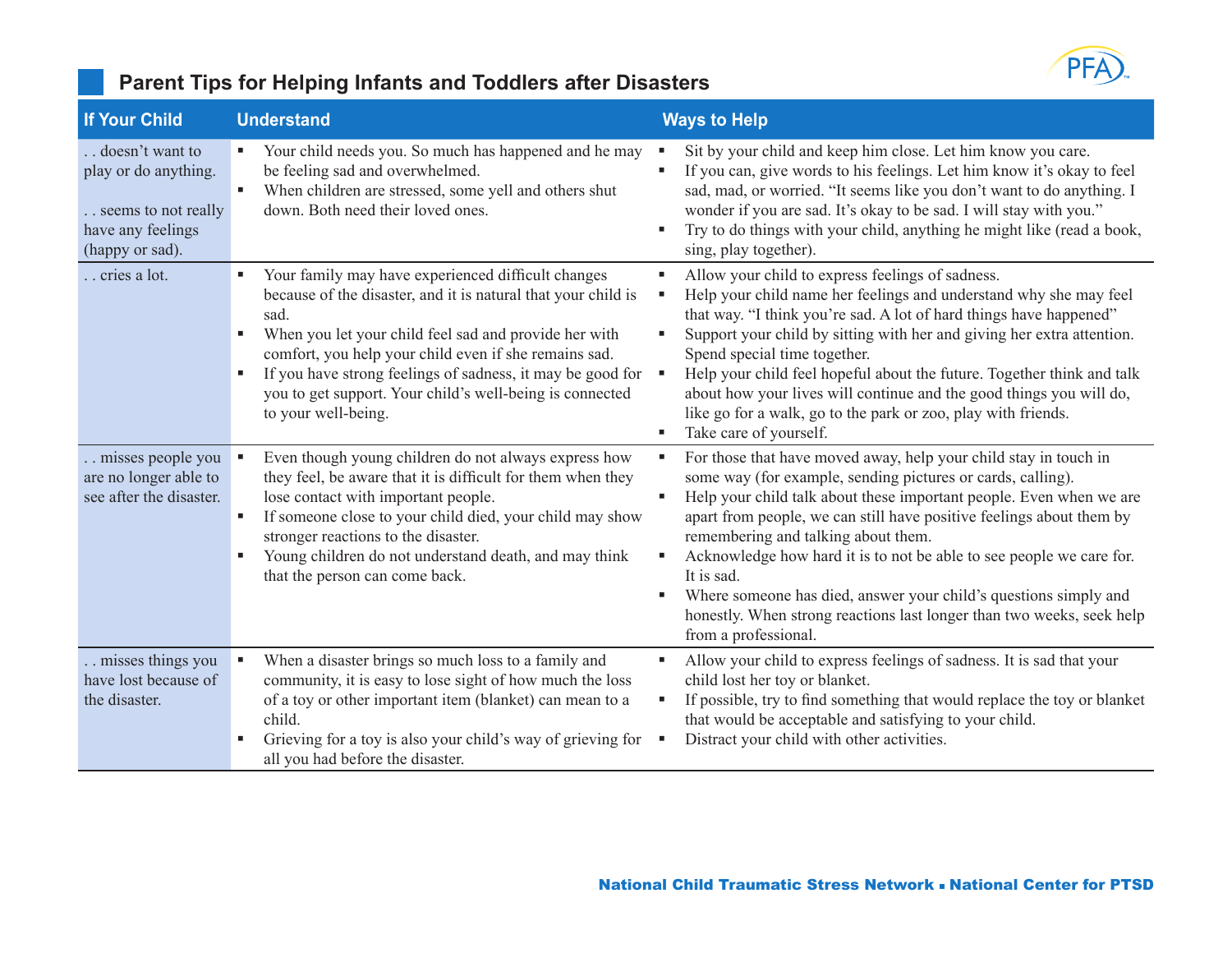

### **Parent Tips for Helping Infants and Toddlers after Disasters**

| <b>If Your Child</b>                                                                                     | <b>Understand</b>                                                                                                                                                                                                                                                                                                                                                                                        | <b>Ways to Help</b>                                                                                                                                                                                                                                                                                                                                                                                                                                                                                                                                                              |
|----------------------------------------------------------------------------------------------------------|----------------------------------------------------------------------------------------------------------------------------------------------------------------------------------------------------------------------------------------------------------------------------------------------------------------------------------------------------------------------------------------------------------|----------------------------------------------------------------------------------------------------------------------------------------------------------------------------------------------------------------------------------------------------------------------------------------------------------------------------------------------------------------------------------------------------------------------------------------------------------------------------------------------------------------------------------------------------------------------------------|
| . doesn't want to<br>play or do anything.<br>seems to not really<br>have any feelings<br>(happy or sad). | Your child needs you. So much has happened and he may<br>be feeling sad and overwhelmed.<br>When children are stressed, some yell and others shut<br>down. Both need their loved ones.                                                                                                                                                                                                                   | Sit by your child and keep him close. Let him know you care.<br>If you can, give words to his feelings. Let him know it's okay to feel<br>sad, mad, or worried. "It seems like you don't want to do anything. I<br>wonder if you are sad. It's okay to be sad. I will stay with you."<br>Try to do things with your child, anything he might like (read a book,<br>sing, play together).                                                                                                                                                                                         |
| . cries a lot.                                                                                           | Your family may have experienced difficult changes<br>٠<br>because of the disaster, and it is natural that your child is<br>sad.<br>When you let your child feel sad and provide her with<br>٠<br>comfort, you help your child even if she remains sad.<br>If you have strong feelings of sadness, it may be good for<br>you to get support. Your child's well-being is connected<br>to your well-being. | Allow your child to express feelings of sadness.<br>٠<br>Help your child name her feelings and understand why she may feel<br>that way. "I think you're sad. A lot of hard things have happened"<br>Support your child by sitting with her and giving her extra attention.<br>Spend special time together.<br>Help your child feel hopeful about the future. Together think and talk<br>about how your lives will continue and the good things you will do,<br>like go for a walk, go to the park or zoo, play with friends.<br>Take care of yourself.<br>٠                      |
| . misses people you<br>are no longer able to<br>see after the disaster.                                  | Even though young children do not always express how<br>they feel, be aware that it is difficult for them when they<br>lose contact with important people.<br>If someone close to your child died, your child may show<br>stronger reactions to the disaster.<br>Young children do not understand death, and may think<br>that the person can come back.                                                 | For those that have moved away, help your child stay in touch in<br>some way (for example, sending pictures or cards, calling).<br>Help your child talk about these important people. Even when we are<br>apart from people, we can still have positive feelings about them by<br>remembering and talking about them.<br>Acknowledge how hard it is to not be able to see people we care for.<br>It is sad.<br>Where someone has died, answer your child's questions simply and<br>honestly. When strong reactions last longer than two weeks, seek help<br>from a professional. |
| . misses things you<br>have lost because of<br>the disaster.                                             | When a disaster brings so much loss to a family and<br>community, it is easy to lose sight of how much the loss<br>of a toy or other important item (blanket) can mean to a<br>child.<br>Grieving for a toy is also your child's way of grieving for<br>all you had before the disaster.                                                                                                                 | Allow your child to express feelings of sadness. It is sad that your<br>child lost her toy or blanket.<br>If possible, try to find something that would replace the toy or blanket<br>that would be acceptable and satisfying to your child.<br>Distract your child with other activities.                                                                                                                                                                                                                                                                                       |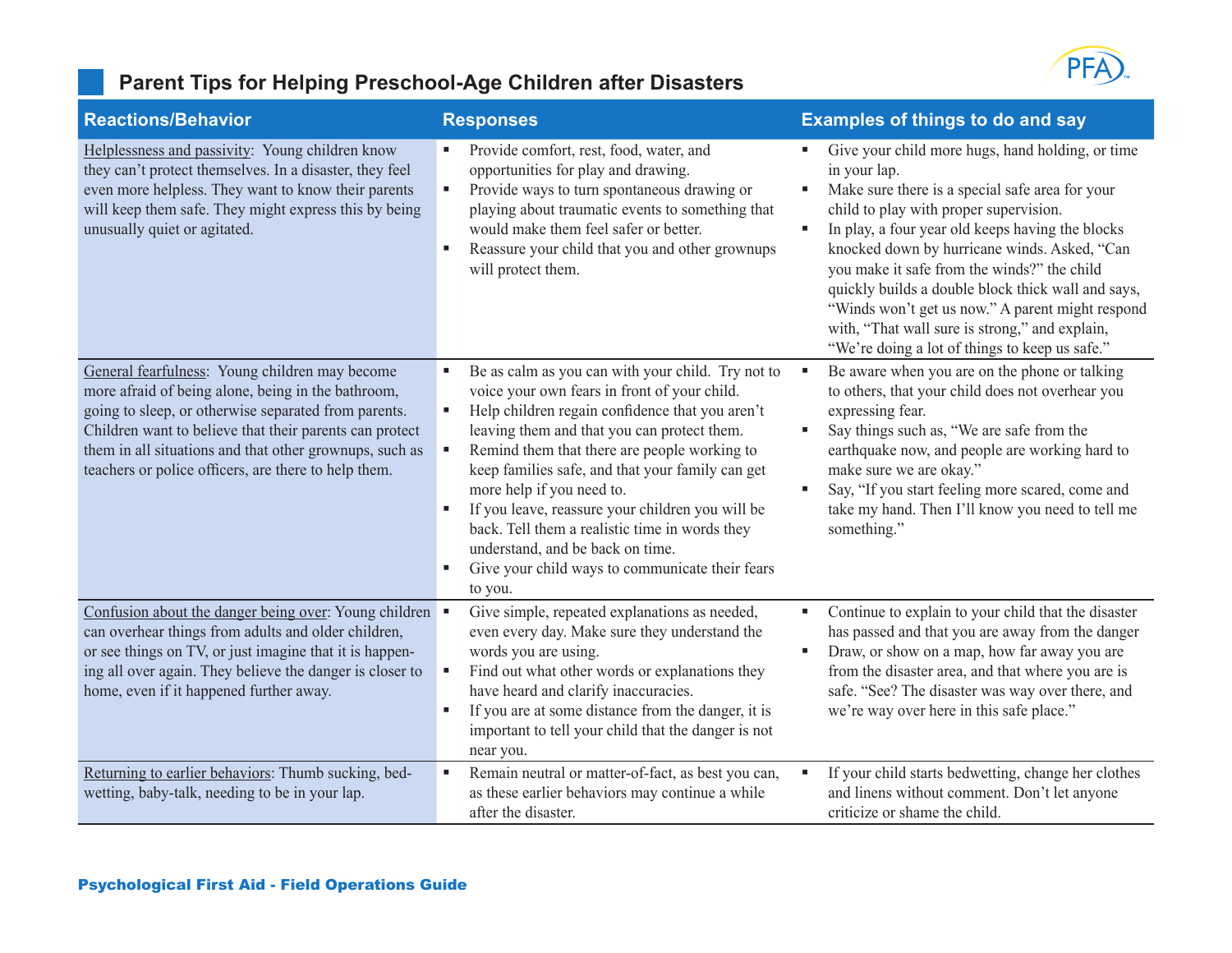### **Parent Tips for Helping Preschool-Age Children after Disasters**



| <b>Reactions/Behavior</b>                                                                                                                                                                                                                                                                                                                  | <b>Responses</b>                                                                                                                                                                                                                                                                                                                                                                                                                                                                                                                                                                                   | <b>Examples of things to do and say</b>                                                                                                                                                                                                                                                                                                                                                                                                                                                                                                  |
|--------------------------------------------------------------------------------------------------------------------------------------------------------------------------------------------------------------------------------------------------------------------------------------------------------------------------------------------|----------------------------------------------------------------------------------------------------------------------------------------------------------------------------------------------------------------------------------------------------------------------------------------------------------------------------------------------------------------------------------------------------------------------------------------------------------------------------------------------------------------------------------------------------------------------------------------------------|------------------------------------------------------------------------------------------------------------------------------------------------------------------------------------------------------------------------------------------------------------------------------------------------------------------------------------------------------------------------------------------------------------------------------------------------------------------------------------------------------------------------------------------|
| Helplessness and passivity: Young children know<br>they can't protect themselves. In a disaster, they feel<br>even more helpless. They want to know their parents<br>will keep them safe. They might express this by being<br>unusually quiet or agitated.                                                                                 | Provide comfort, rest, food, water, and<br>٠<br>opportunities for play and drawing.<br>Provide ways to turn spontaneous drawing or<br>٠<br>playing about traumatic events to something that<br>would make them feel safer or better.<br>Reassure your child that you and other grownups<br>will protect them.                                                                                                                                                                                                                                                                                      | Give your child more hugs, hand holding, or time<br>in your lap.<br>Make sure there is a special safe area for your<br>ш<br>child to play with proper supervision.<br>In play, a four year old keeps having the blocks<br>٠<br>knocked down by hurricane winds. Asked, "Can<br>you make it safe from the winds?" the child<br>quickly builds a double block thick wall and says,<br>"Winds won't get us now." A parent might respond<br>with, "That wall sure is strong," and explain,<br>"We're doing a lot of things to keep us safe." |
| General fearfulness: Young children may become<br>more afraid of being alone, being in the bathroom,<br>going to sleep, or otherwise separated from parents.<br>Children want to believe that their parents can protect<br>them in all situations and that other grownups, such as<br>teachers or police officers, are there to help them. | Be as calm as you can with your child. Try not to<br>$\blacksquare$<br>voice your own fears in front of your child.<br>Help children regain confidence that you aren't<br>$\blacksquare$<br>leaving them and that you can protect them.<br>Remind them that there are people working to<br>$\blacksquare$<br>keep families safe, and that your family can get<br>more help if you need to.<br>If you leave, reassure your children you will be<br>back. Tell them a realistic time in words they<br>understand, and be back on time.<br>Give your child ways to communicate their fears<br>to you. | Be aware when you are on the phone or talking<br>٠<br>to others, that your child does not overhear you<br>expressing fear.<br>Say things such as, "We are safe from the<br>٠<br>earthquake now, and people are working hard to<br>make sure we are okay."<br>Say, "If you start feeling more scared, come and<br>٠<br>take my hand. Then I'll know you need to tell me<br>something."                                                                                                                                                    |
| Confusion about the danger being over: Young children<br>can overhear things from adults and older children,<br>or see things on TV, or just imagine that it is happen-<br>ing all over again. They believe the danger is closer to<br>home, even if it happened further away.                                                             | Give simple, repeated explanations as needed,<br>even every day. Make sure they understand the<br>words you are using.<br>Find out what other words or explanations they<br>٠<br>have heard and clarify inaccuracies.<br>If you are at some distance from the danger, it is<br>٠<br>important to tell your child that the danger is not<br>near you.                                                                                                                                                                                                                                               | Continue to explain to your child that the disaster<br>п.<br>has passed and that you are away from the danger<br>Draw, or show on a map, how far away you are<br>a.<br>from the disaster area, and that where you are is<br>safe. "See? The disaster was way over there, and<br>we're way over here in this safe place."                                                                                                                                                                                                                 |
| Returning to earlier behaviors: Thumb sucking, bed-<br>wetting, baby-talk, needing to be in your lap.                                                                                                                                                                                                                                      | Remain neutral or matter-of-fact, as best you can,<br>$\blacksquare$<br>as these earlier behaviors may continue a while<br>after the disaster.                                                                                                                                                                                                                                                                                                                                                                                                                                                     | If your child starts bedwetting, change her clothes<br>٠<br>and linens without comment. Don't let anyone<br>criticize or shame the child.                                                                                                                                                                                                                                                                                                                                                                                                |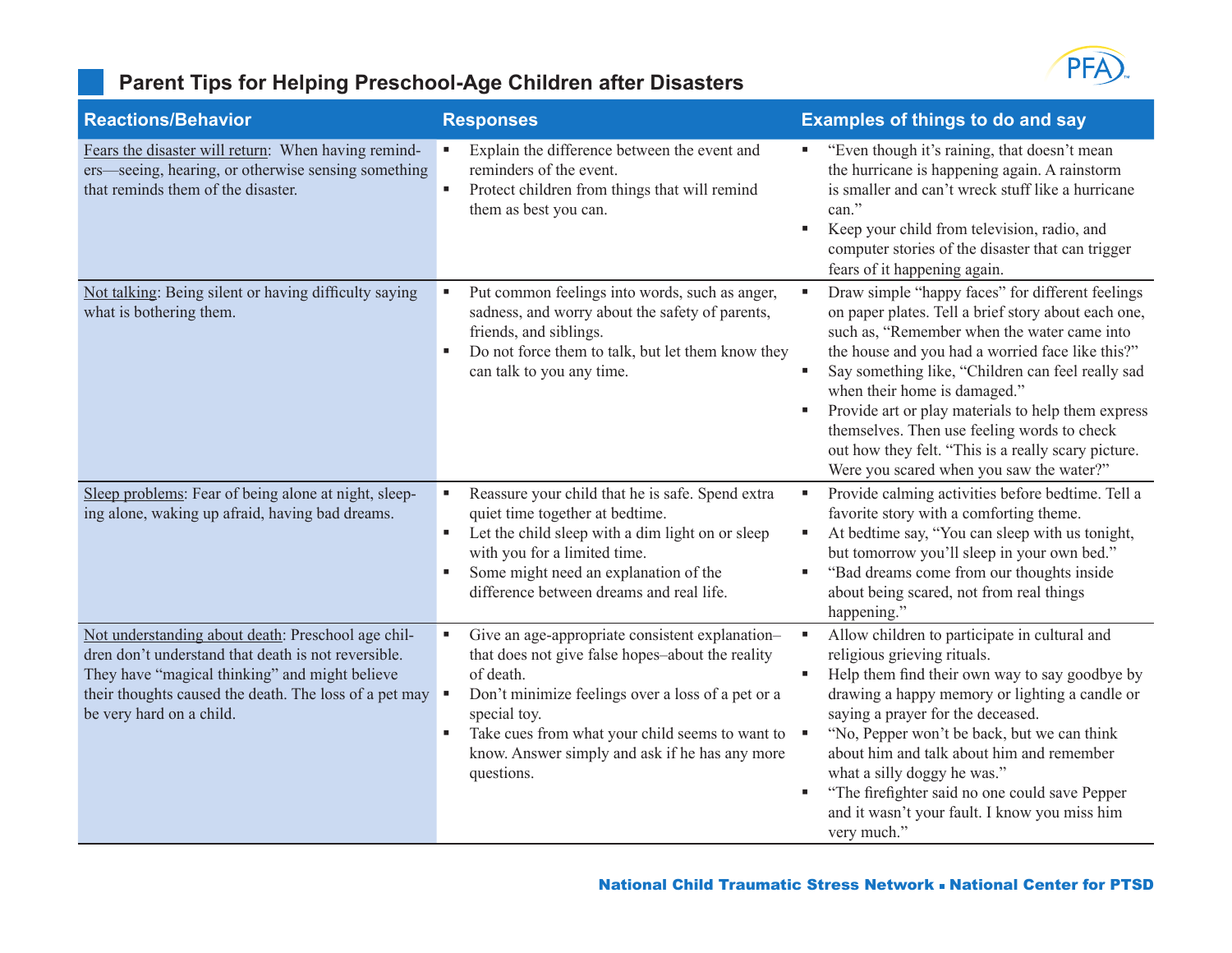# PFA

### **Parent Tips for Helping Preschool-Age Children after Disasters**

| <b>Reactions/Behavior</b>                                                                                                                                                                                                                         | <b>Responses</b>                                                                                                                                                                                                                                                                                                   | <b>Examples of things to do and say</b>                                                                                                                                                                                                                                                                                                                                                                                                                                                                                             |
|---------------------------------------------------------------------------------------------------------------------------------------------------------------------------------------------------------------------------------------------------|--------------------------------------------------------------------------------------------------------------------------------------------------------------------------------------------------------------------------------------------------------------------------------------------------------------------|-------------------------------------------------------------------------------------------------------------------------------------------------------------------------------------------------------------------------------------------------------------------------------------------------------------------------------------------------------------------------------------------------------------------------------------------------------------------------------------------------------------------------------------|
| Fears the disaster will return: When having remind-<br>ers—seeing, hearing, or otherwise sensing something<br>that reminds them of the disaster.                                                                                                  | Explain the difference between the event and<br>reminders of the event.<br>Protect children from things that will remind<br>Ű.<br>them as best you can.                                                                                                                                                            | "Even though it's raining, that doesn't mean<br>the hurricane is happening again. A rainstorm<br>is smaller and can't wreck stuff like a hurricane<br>can."<br>Keep your child from television, radio, and<br>٠<br>computer stories of the disaster that can trigger<br>fears of it happening again.                                                                                                                                                                                                                                |
| Not talking: Being silent or having difficulty saying<br>what is bothering them.                                                                                                                                                                  | Put common feelings into words, such as anger,<br>٠<br>sadness, and worry about the safety of parents,<br>friends, and siblings.<br>Do not force them to talk, but let them know they<br>٠<br>can talk to you any time.                                                                                            | Draw simple "happy faces" for different feelings<br>$\blacksquare$<br>on paper plates. Tell a brief story about each one,<br>such as, "Remember when the water came into<br>the house and you had a worried face like this?"<br>Say something like, "Children can feel really sad<br>٠<br>when their home is damaged."<br>Provide art or play materials to help them express<br>٠<br>themselves. Then use feeling words to check<br>out how they felt. "This is a really scary picture.<br>Were you scared when you saw the water?" |
| Sleep problems: Fear of being alone at night, sleep-<br>ing alone, waking up afraid, having bad dreams.                                                                                                                                           | Reassure your child that he is safe. Spend extra<br>quiet time together at bedtime.<br>Let the child sleep with a dim light on or sleep<br>٠<br>with you for a limited time.<br>Some might need an explanation of the<br>٠<br>difference between dreams and real life.                                             | Provide calming activities before bedtime. Tell a<br>п<br>favorite story with a comforting theme.<br>At bedtime say, "You can sleep with us tonight,<br>٠<br>but tomorrow you'll sleep in your own bed."<br>"Bad dreams come from our thoughts inside<br>٠<br>about being scared, not from real things<br>happening."                                                                                                                                                                                                               |
| Not understanding about death: Preschool age chil-<br>dren don't understand that death is not reversible.<br>They have "magical thinking" and might believe<br>their thoughts caused the death. The loss of a pet may<br>be very hard on a child. | Give an age-appropriate consistent explanation-<br>×<br>that does not give false hopes-about the reality<br>of death.<br>Don't minimize feelings over a loss of a pet or a<br>special toy.<br>Take cues from what your child seems to want to<br>٠<br>know. Answer simply and ask if he has any more<br>questions. | Allow children to participate in cultural and<br>$\blacksquare$<br>religious grieving rituals.<br>Help them find their own way to say goodbye by<br>×,<br>drawing a happy memory or lighting a candle or<br>saying a prayer for the deceased.<br>"No, Pepper won't be back, but we can think<br>×<br>about him and talk about him and remember<br>what a silly doggy he was."<br>"The firefighter said no one could save Pepper<br>٠<br>and it wasn't your fault. I know you miss him<br>very much."                                |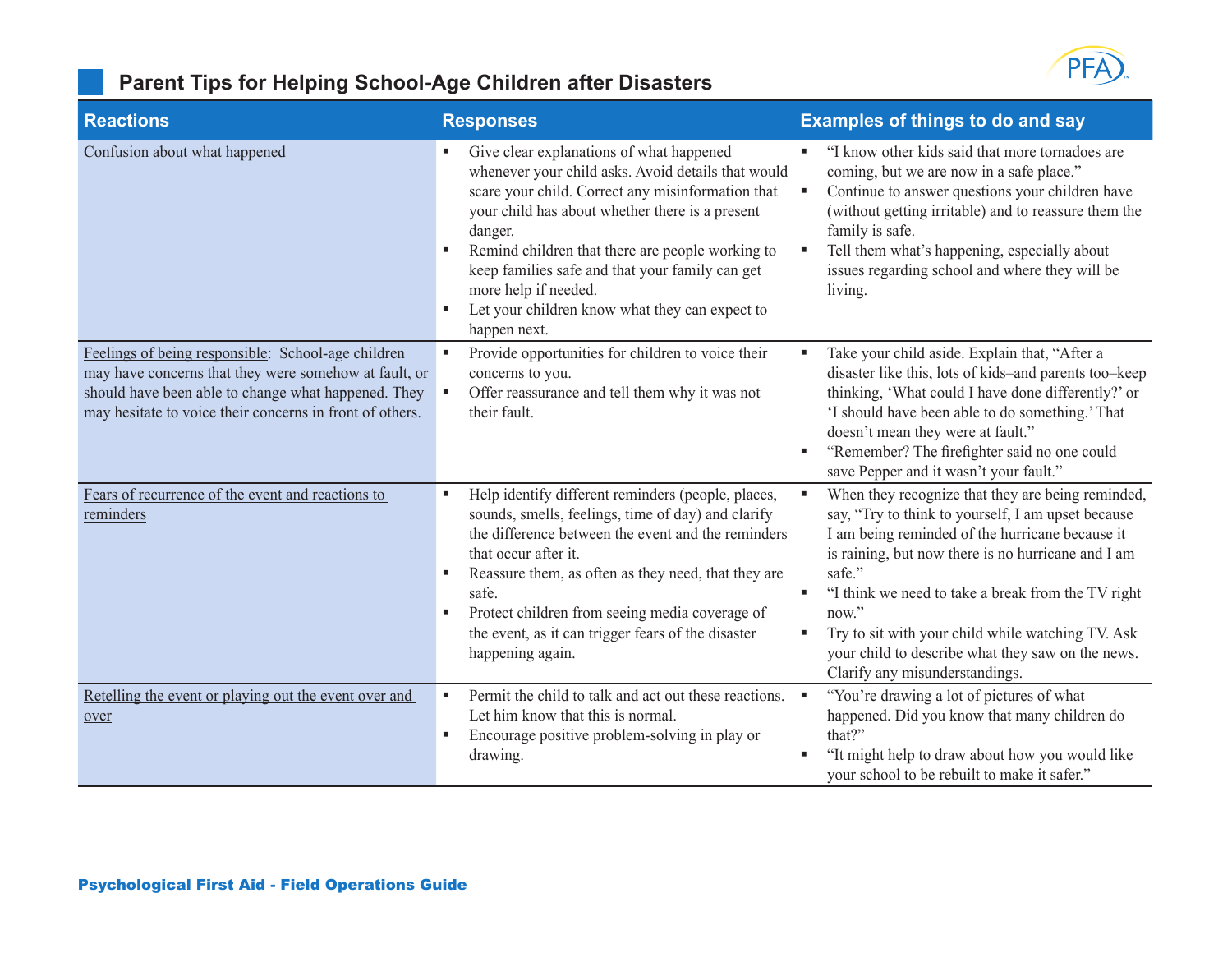

### **Parent Tips for Helping School-Age Children after Disasters**

| <b>Reactions</b>                                                                                                                                                                                                               | <b>Responses</b>                                                                                                                                                                                                                                                                                                                                                                                                   | <b>Examples of things to do and say</b>                                                                                                                                                                                                                                                                                                                                                                                                         |
|--------------------------------------------------------------------------------------------------------------------------------------------------------------------------------------------------------------------------------|--------------------------------------------------------------------------------------------------------------------------------------------------------------------------------------------------------------------------------------------------------------------------------------------------------------------------------------------------------------------------------------------------------------------|-------------------------------------------------------------------------------------------------------------------------------------------------------------------------------------------------------------------------------------------------------------------------------------------------------------------------------------------------------------------------------------------------------------------------------------------------|
| Confusion about what happened                                                                                                                                                                                                  | Give clear explanations of what happened<br>whenever your child asks. Avoid details that would<br>scare your child. Correct any misinformation that<br>your child has about whether there is a present<br>danger.<br>Remind children that there are people working to<br>keep families safe and that your family can get<br>more help if needed.<br>Let your children know what they can expect to<br>happen next. | "I know other kids said that more tornadoes are<br>coming, but we are now in a safe place."<br>Continue to answer questions your children have<br>۹<br>(without getting irritable) and to reassure them the<br>family is safe.<br>Tell them what's happening, especially about<br>×<br>issues regarding school and where they will be<br>living.                                                                                                |
| Feelings of being responsible: School-age children<br>may have concerns that they were somehow at fault, or<br>should have been able to change what happened. They<br>may hesitate to voice their concerns in front of others. | Provide opportunities for children to voice their<br>concerns to you.<br>Offer reassurance and tell them why it was not<br>their fault.                                                                                                                                                                                                                                                                            | Take your child aside. Explain that, "After a<br>٠<br>disaster like this, lots of kids-and parents too-keep<br>thinking, 'What could I have done differently?' or<br>'I should have been able to do something.' That<br>doesn't mean they were at fault."<br>"Remember? The firefighter said no one could<br>л<br>save Pepper and it wasn't your fault."                                                                                        |
| Fears of recurrence of the event and reactions to<br>reminders                                                                                                                                                                 | Help identify different reminders (people, places,<br>sounds, smells, feelings, time of day) and clarify<br>the difference between the event and the reminders<br>that occur after it.<br>Reassure them, as often as they need, that they are<br>safe.<br>Protect children from seeing media coverage of<br>the event, as it can trigger fears of the disaster<br>happening again.                                 | When they recognize that they are being reminded,<br>×<br>say, "Try to think to yourself, I am upset because<br>I am being reminded of the hurricane because it<br>is raining, but now there is no hurricane and I am<br>safe."<br>"I think we need to take a break from the TV right<br>٠<br>now."<br>Try to sit with your child while watching TV. Ask<br>your child to describe what they saw on the news.<br>Clarify any misunderstandings. |
| Retelling the event or playing out the event over and<br>over                                                                                                                                                                  | Permit the child to talk and act out these reactions.<br>Let him know that this is normal.<br>Encourage positive problem-solving in play or<br>drawing.                                                                                                                                                                                                                                                            | "You're drawing a lot of pictures of what<br>happened. Did you know that many children do<br>that?"<br>"It might help to draw about how you would like<br>л<br>your school to be rebuilt to make it safer."                                                                                                                                                                                                                                     |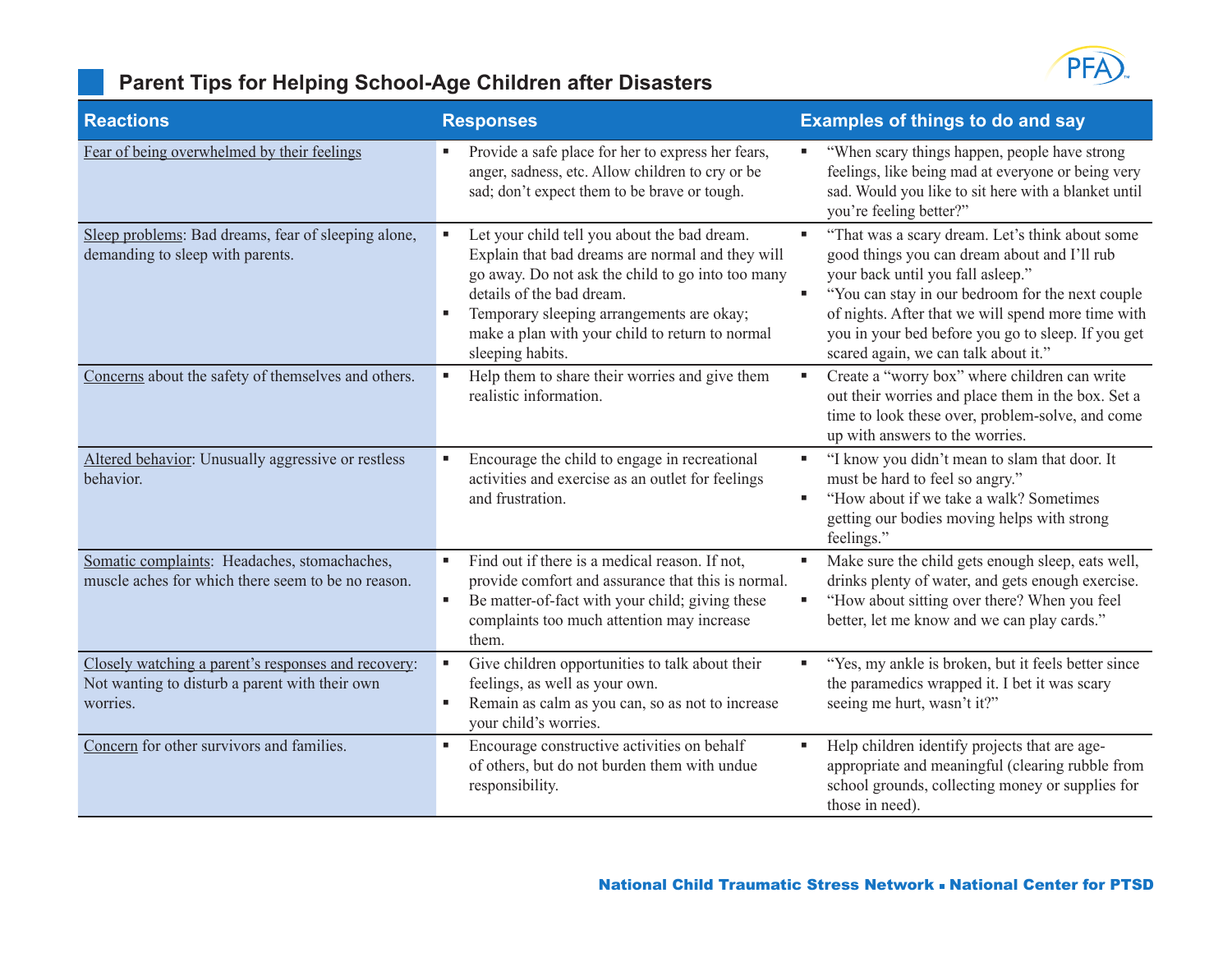

### **Parent Tips for Helping School-Age Children after Disasters**

| <b>Reactions</b>                                                                                                  | <b>Responses</b>                                                                                                                                                                                                                                                                                       | <b>Examples of things to do and say</b>                                                                                                                                                                                                                                                                                                      |
|-------------------------------------------------------------------------------------------------------------------|--------------------------------------------------------------------------------------------------------------------------------------------------------------------------------------------------------------------------------------------------------------------------------------------------------|----------------------------------------------------------------------------------------------------------------------------------------------------------------------------------------------------------------------------------------------------------------------------------------------------------------------------------------------|
| Fear of being overwhelmed by their feelings                                                                       | Provide a safe place for her to express her fears,<br>anger, sadness, etc. Allow children to cry or be<br>sad; don't expect them to be brave or tough.                                                                                                                                                 | "When scary things happen, people have strong<br>feelings, like being mad at everyone or being very<br>sad. Would you like to sit here with a blanket until<br>you're feeling better?"                                                                                                                                                       |
| Sleep problems: Bad dreams, fear of sleeping alone,<br>demanding to sleep with parents.                           | Let your child tell you about the bad dream.<br>Explain that bad dreams are normal and they will<br>go away. Do not ask the child to go into too many<br>details of the bad dream.<br>Temporary sleeping arrangements are okay;<br>make a plan with your child to return to normal<br>sleeping habits. | "That was a scary dream. Let's think about some<br>good things you can dream about and I'll rub<br>your back until you fall asleep."<br>"You can stay in our bedroom for the next couple<br>of nights. After that we will spend more time with<br>you in your bed before you go to sleep. If you get<br>scared again, we can talk about it." |
| Concerns about the safety of themselves and others.                                                               | Help them to share their worries and give them<br>realistic information.                                                                                                                                                                                                                               | Create a "worry box" where children can write<br>out their worries and place them in the box. Set a<br>time to look these over, problem-solve, and come<br>up with answers to the worries.                                                                                                                                                   |
| Altered behavior: Unusually aggressive or restless<br>behavior.                                                   | Encourage the child to engage in recreational<br>activities and exercise as an outlet for feelings<br>and frustration.                                                                                                                                                                                 | "I know you didn't mean to slam that door. It<br>л<br>must be hard to feel so angry."<br>"How about if we take a walk? Sometimes<br>getting our bodies moving helps with strong<br>feelings."                                                                                                                                                |
| Somatic complaints: Headaches, stomachaches,<br>muscle aches for which there seem to be no reason.                | Find out if there is a medical reason. If not,<br>provide comfort and assurance that this is normal.<br>Be matter-of-fact with your child; giving these<br>٠<br>complaints too much attention may increase<br>them.                                                                                    | Make sure the child gets enough sleep, eats well,<br>×<br>drinks plenty of water, and gets enough exercise.<br>"How about sitting over there? When you feel<br>×<br>better, let me know and we can play cards."                                                                                                                              |
| Closely watching a parent's responses and recovery:<br>Not wanting to disturb a parent with their own<br>worries. | Give children opportunities to talk about their<br>feelings, as well as your own.<br>Remain as calm as you can, so as not to increase<br>your child's worries.                                                                                                                                         | "Yes, my ankle is broken, but it feels better since<br>the paramedics wrapped it. I bet it was scary<br>seeing me hurt, wasn't it?"                                                                                                                                                                                                          |
| Concern for other survivors and families.                                                                         | Encourage constructive activities on behalf<br>of others, but do not burden them with undue<br>responsibility.                                                                                                                                                                                         | Help children identify projects that are age-<br>appropriate and meaningful (clearing rubble from<br>school grounds, collecting money or supplies for<br>those in need).                                                                                                                                                                     |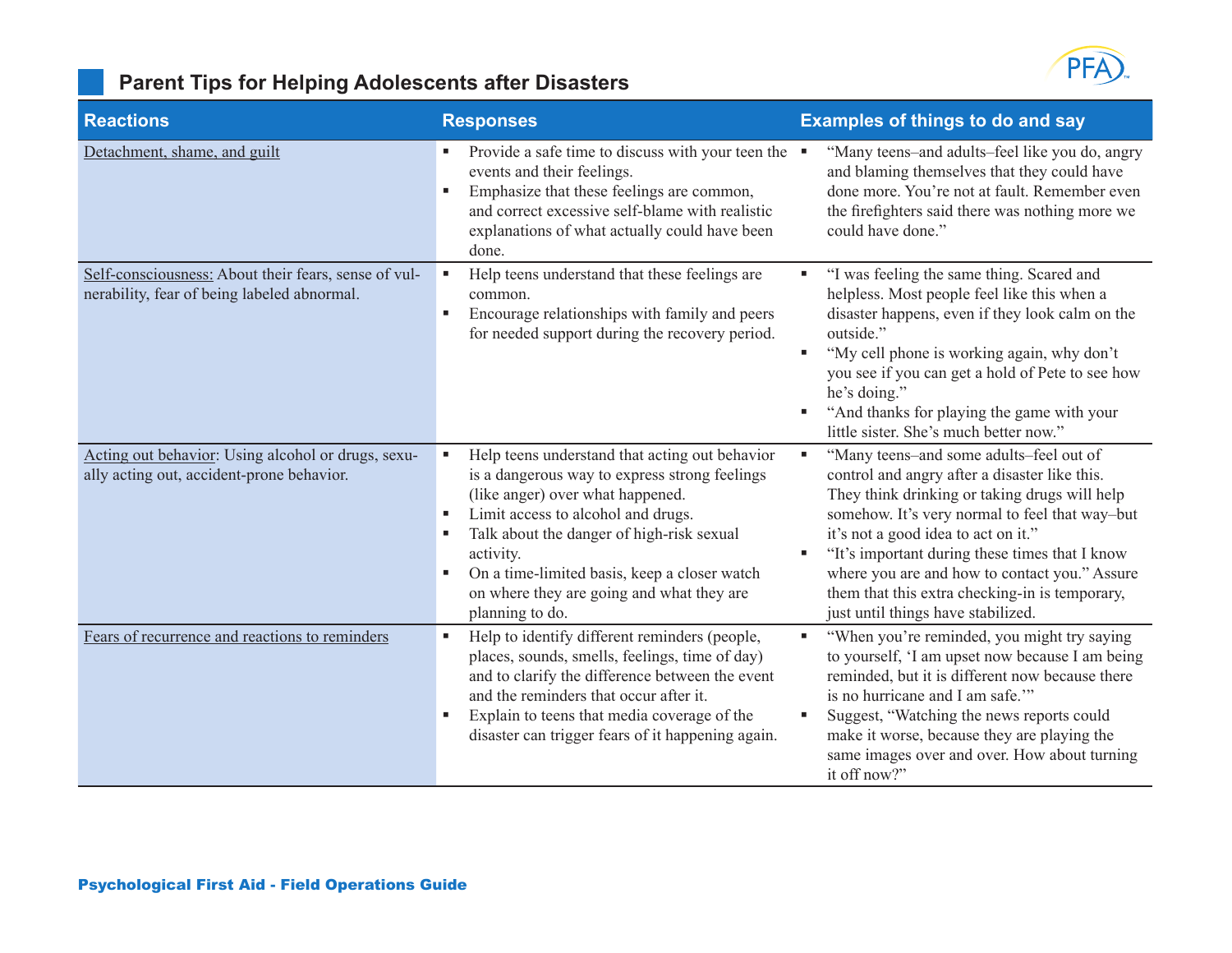

### **Parent Tips for Helping Adolescents after Disasters**

| <b>Reactions</b>                                                                                    | <b>Responses</b>                                                                                                                                                                                                                                                                                                                                         | <b>Examples of things to do and say</b>                                                                                                                                                                                                                                                                                                                                                                                             |
|-----------------------------------------------------------------------------------------------------|----------------------------------------------------------------------------------------------------------------------------------------------------------------------------------------------------------------------------------------------------------------------------------------------------------------------------------------------------------|-------------------------------------------------------------------------------------------------------------------------------------------------------------------------------------------------------------------------------------------------------------------------------------------------------------------------------------------------------------------------------------------------------------------------------------|
| Detachment, shame, and guilt                                                                        | Provide a safe time to discuss with your teen the<br>events and their feelings.<br>Emphasize that these feelings are common,<br>and correct excessive self-blame with realistic<br>explanations of what actually could have been<br>done.                                                                                                                | "Many teens-and adults-feel like you do, angry<br>and blaming themselves that they could have<br>done more. You're not at fault. Remember even<br>the firefighters said there was nothing more we<br>could have done."                                                                                                                                                                                                              |
| Self-consciousness: About their fears, sense of vul-<br>nerability, fear of being labeled abnormal. | Help teens understand that these feelings are<br>common.<br>Encourage relationships with family and peers<br>for needed support during the recovery period.                                                                                                                                                                                              | "I was feeling the same thing. Scared and<br>Е<br>helpless. Most people feel like this when a<br>disaster happens, even if they look calm on the<br>outside."<br>"My cell phone is working again, why don't<br>٠<br>you see if you can get a hold of Pete to see how<br>he's doing."<br>"And thanks for playing the game with your<br>п<br>little sister. She's much better now."                                                   |
| Acting out behavior: Using alcohol or drugs, sexu-<br>ally acting out, accident-prone behavior.     | Help teens understand that acting out behavior<br>is a dangerous way to express strong feelings<br>(like anger) over what happened.<br>Limit access to alcohol and drugs.<br>×<br>Talk about the danger of high-risk sexual<br>activity.<br>On a time-limited basis, keep a closer watch<br>on where they are going and what they are<br>planning to do. | "Many teens-and some adults-feel out of<br>×,<br>control and angry after a disaster like this.<br>They think drinking or taking drugs will help<br>somehow. It's very normal to feel that way-but<br>it's not a good idea to act on it."<br>"It's important during these times that I know<br>where you are and how to contact you." Assure<br>them that this extra checking-in is temporary,<br>just until things have stabilized. |
| Fears of recurrence and reactions to reminders                                                      | Help to identify different reminders (people,<br>places, sounds, smells, feelings, time of day)<br>and to clarify the difference between the event<br>and the reminders that occur after it.<br>Explain to teens that media coverage of the<br>disaster can trigger fears of it happening again.                                                         | "When you're reminded, you might try saying<br>×<br>to yourself, 'I am upset now because I am being<br>reminded, but it is different now because there<br>is no hurricane and I am safe.""<br>Suggest, "Watching the news reports could<br>п<br>make it worse, because they are playing the<br>same images over and over. How about turning<br>it off now?"                                                                         |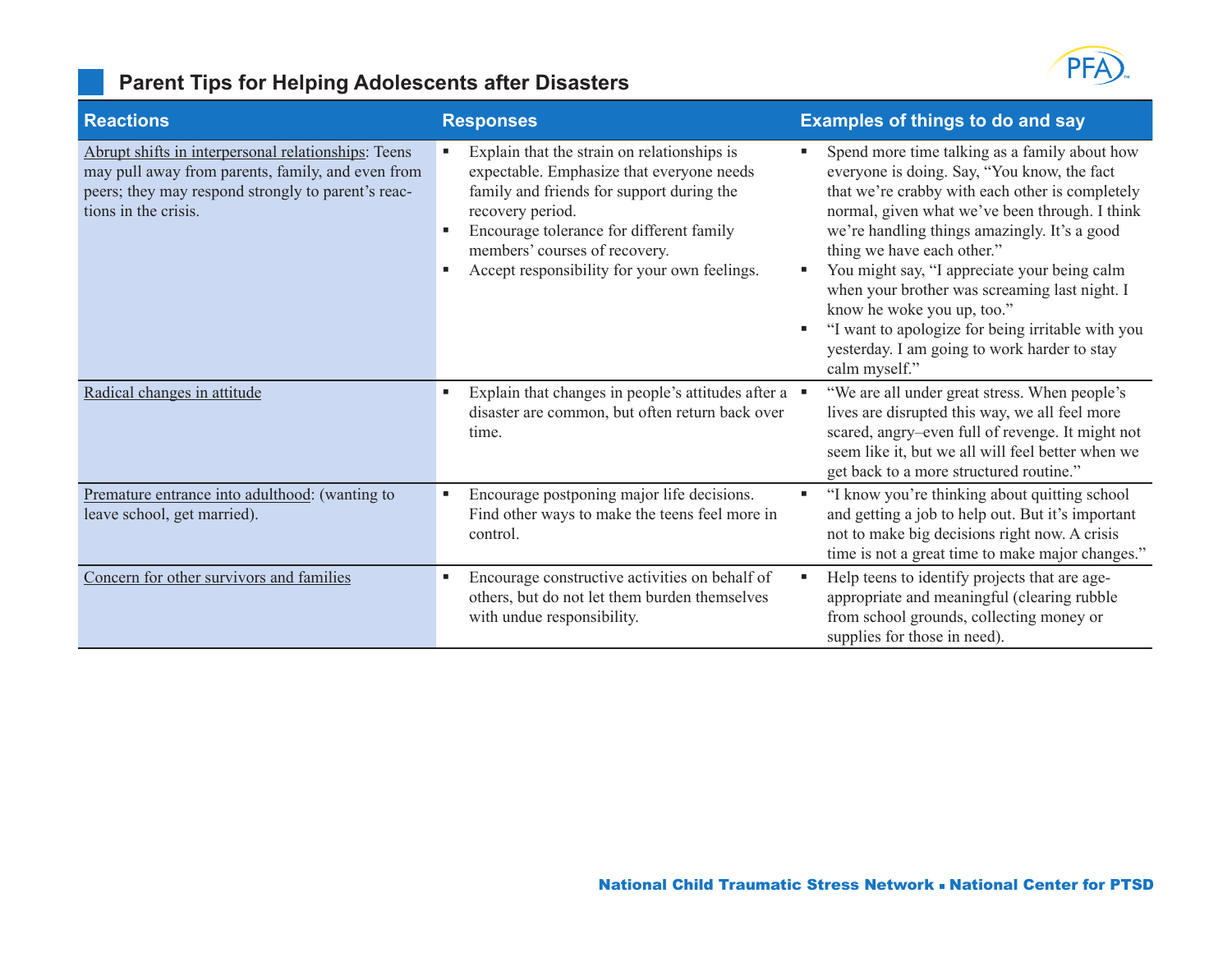

### **Parent Tips for Helping Adolescents after Disasters**

| <b>Reactions</b>                                                                                                                                                                       | <b>Responses</b>                                                                                                                                                                                                                                                                            | <b>Examples of things to do and say</b>                                                                                                                                                                                                                                                                                                                                                                                                                                                                                                             |
|----------------------------------------------------------------------------------------------------------------------------------------------------------------------------------------|---------------------------------------------------------------------------------------------------------------------------------------------------------------------------------------------------------------------------------------------------------------------------------------------|-----------------------------------------------------------------------------------------------------------------------------------------------------------------------------------------------------------------------------------------------------------------------------------------------------------------------------------------------------------------------------------------------------------------------------------------------------------------------------------------------------------------------------------------------------|
| Abrupt shifts in interpersonal relationships: Teens<br>may pull away from parents, family, and even from<br>peers; they may respond strongly to parent's reac-<br>tions in the crisis. | Explain that the strain on relationships is<br>expectable. Emphasize that everyone needs<br>family and friends for support during the<br>recovery period.<br>Encourage tolerance for different family<br>٠<br>members' courses of recovery.<br>Accept responsibility for your own feelings. | Spend more time talking as a family about how<br>л<br>everyone is doing. Say, "You know, the fact<br>that we're crabby with each other is completely<br>normal, given what we've been through. I think<br>we're handling things amazingly. It's a good<br>thing we have each other."<br>You might say, "I appreciate your being calm<br>л<br>when your brother was screaming last night. I<br>know he woke you up, too."<br>"I want to apologize for being irritable with you<br>п<br>yesterday. I am going to work harder to stay<br>calm myself." |
| Radical changes in attitude                                                                                                                                                            | Explain that changes in people's attitudes after a $\blacksquare$<br>٠<br>disaster are common, but often return back over<br>time.                                                                                                                                                          | "We are all under great stress. When people's<br>lives are disrupted this way, we all feel more<br>scared, angry-even full of revenge. It might not<br>seem like it, but we all will feel better when we<br>get back to a more structured routine."                                                                                                                                                                                                                                                                                                 |
| Premature entrance into adulthood: (wanting to<br>leave school, get married).                                                                                                          | Encourage postponing major life decisions.<br>Find other ways to make the teens feel more in<br>control.                                                                                                                                                                                    | "I know you're thinking about quitting school<br>л<br>and getting a job to help out. But it's important<br>not to make big decisions right now. A crisis<br>time is not a great time to make major changes."                                                                                                                                                                                                                                                                                                                                        |
| Concern for other survivors and families                                                                                                                                               | Encourage constructive activities on behalf of<br>п<br>others, but do not let them burden themselves<br>with undue responsibility.                                                                                                                                                          | Help teens to identify projects that are age-<br>٠<br>appropriate and meaningful (clearing rubble<br>from school grounds, collecting money or<br>supplies for those in need).                                                                                                                                                                                                                                                                                                                                                                       |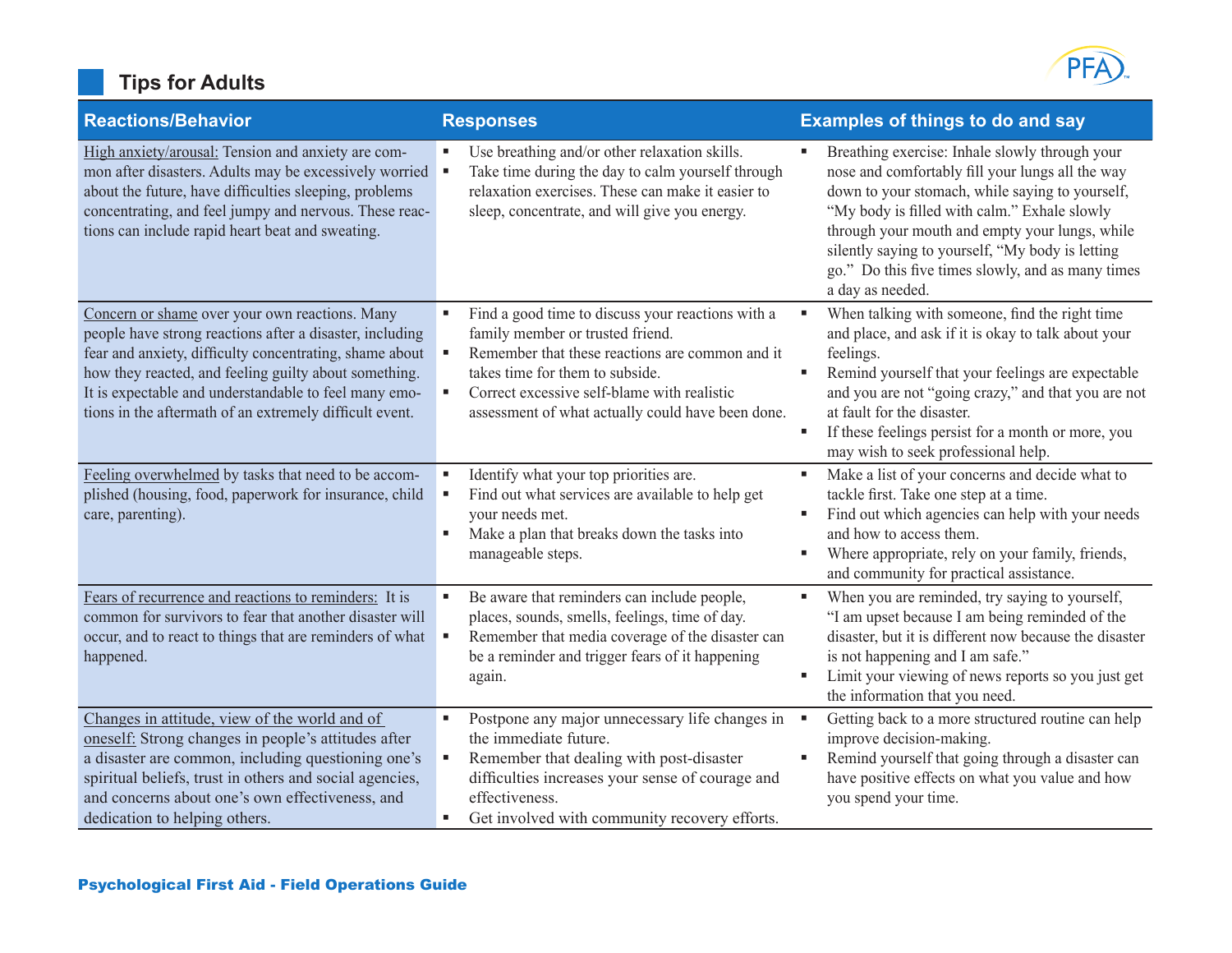# **Tips for Adults**



| <b>Reactions/Behavior</b>                                                                                                                                                                                                                                                                                                                          | <b>Responses</b>                                                                                                                                                                                                                                                                     | <b>Examples of things to do and say</b>                                                                                                                                                                                                                                                                                                                                              |
|----------------------------------------------------------------------------------------------------------------------------------------------------------------------------------------------------------------------------------------------------------------------------------------------------------------------------------------------------|--------------------------------------------------------------------------------------------------------------------------------------------------------------------------------------------------------------------------------------------------------------------------------------|--------------------------------------------------------------------------------------------------------------------------------------------------------------------------------------------------------------------------------------------------------------------------------------------------------------------------------------------------------------------------------------|
| High anxiety/arousal: Tension and anxiety are com-<br>mon after disasters. Adults may be excessively worried<br>about the future, have difficulties sleeping, problems<br>concentrating, and feel jumpy and nervous. These reac-<br>tions can include rapid heart beat and sweating.                                                               | Use breathing and/or other relaxation skills.<br>٠<br>Take time during the day to calm yourself through<br>relaxation exercises. These can make it easier to<br>sleep, concentrate, and will give you energy.                                                                        | Breathing exercise: Inhale slowly through your<br>nose and comfortably fill your lungs all the way<br>down to your stomach, while saying to yourself,<br>"My body is filled with calm." Exhale slowly<br>through your mouth and empty your lungs, while<br>silently saying to yourself, "My body is letting<br>go." Do this five times slowly, and as many times<br>a day as needed. |
| Concern or shame over your own reactions. Many<br>people have strong reactions after a disaster, including<br>fear and anxiety, difficulty concentrating, shame about<br>how they reacted, and feeling guilty about something.<br>It is expectable and understandable to feel many emo-<br>tions in the aftermath of an extremely difficult event. | Find a good time to discuss your reactions with a<br>٠<br>family member or trusted friend.<br>Remember that these reactions are common and it<br>takes time for them to subside.<br>Correct excessive self-blame with realistic<br>assessment of what actually could have been done. | When talking with someone, find the right time<br>×<br>and place, and ask if it is okay to talk about your<br>feelings.<br>Remind yourself that your feelings are expectable<br>۸<br>and you are not "going crazy," and that you are not<br>at fault for the disaster.<br>If these feelings persist for a month or more, you<br>٠<br>may wish to seek professional help.             |
| Feeling overwhelmed by tasks that need to be accom-<br>plished (housing, food, paperwork for insurance, child<br>care, parenting).                                                                                                                                                                                                                 | Identify what your top priorities are.<br>д<br>Find out what services are available to help get<br>your needs met.<br>Make a plan that breaks down the tasks into<br>٠<br>manageable steps.                                                                                          | Make a list of your concerns and decide what to<br>×<br>tackle first. Take one step at a time.<br>Find out which agencies can help with your needs<br>×<br>and how to access them.<br>Where appropriate, rely on your family, friends,<br>٠<br>and community for practical assistance.                                                                                               |
| Fears of recurrence and reactions to reminders: It is<br>common for survivors to fear that another disaster will<br>occur, and to react to things that are reminders of what<br>happened.                                                                                                                                                          | Be aware that reminders can include people,<br>٠<br>places, sounds, smells, feelings, time of day.<br>Remember that media coverage of the disaster can<br>٠<br>be a reminder and trigger fears of it happening<br>again.                                                             | When you are reminded, try saying to yourself,<br>×<br>"I am upset because I am being reminded of the<br>disaster, but it is different now because the disaster<br>is not happening and I am safe."<br>Limit your viewing of news reports so you just get<br>٠<br>the information that you need.                                                                                     |
| Changes in attitude, view of the world and of<br>oneself: Strong changes in people's attitudes after<br>a disaster are common, including questioning one's<br>spiritual beliefs, trust in others and social agencies,<br>and concerns about one's own effectiveness, and<br>dedication to helping others.                                          | Postpone any major unnecessary life changes in<br>$\blacksquare$<br>the immediate future.<br>Remember that dealing with post-disaster<br>٠<br>difficulties increases your sense of courage and<br>effectiveness.<br>Get involved with community recovery efforts.<br>٠               | Getting back to a more structured routine can help<br>×<br>improve decision-making.<br>Remind yourself that going through a disaster can<br>٠<br>have positive effects on what you value and how<br>you spend your time.                                                                                                                                                             |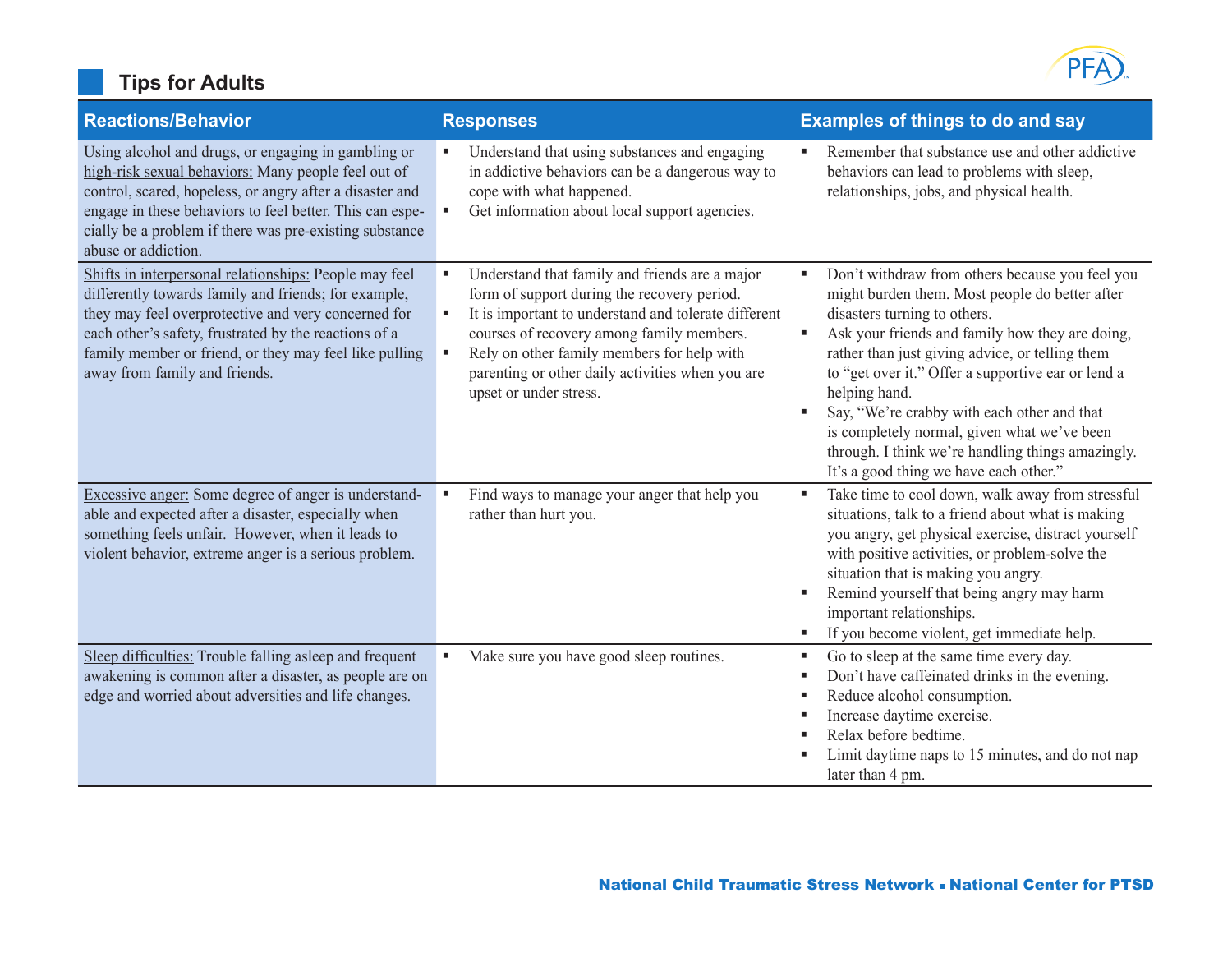# **Tips for Adults**



| <b>Reactions/Behavior</b>                                                                                                                                                                                                                                                                                                 | <b>Responses</b>                                                                                                                                                                                                                                                                                                                              | <b>Examples of things to do and say</b>                                                                                                                                                                                                                                                                                                                                                                                                                                                                                    |
|---------------------------------------------------------------------------------------------------------------------------------------------------------------------------------------------------------------------------------------------------------------------------------------------------------------------------|-----------------------------------------------------------------------------------------------------------------------------------------------------------------------------------------------------------------------------------------------------------------------------------------------------------------------------------------------|----------------------------------------------------------------------------------------------------------------------------------------------------------------------------------------------------------------------------------------------------------------------------------------------------------------------------------------------------------------------------------------------------------------------------------------------------------------------------------------------------------------------------|
| Using alcohol and drugs, or engaging in gambling or<br>high-risk sexual behaviors: Many people feel out of<br>control, scared, hopeless, or angry after a disaster and<br>engage in these behaviors to feel better. This can espe-<br>cially be a problem if there was pre-existing substance<br>abuse or addiction.      | Understand that using substances and engaging<br>٠<br>in addictive behaviors can be a dangerous way to<br>cope with what happened.<br>Get information about local support agencies.                                                                                                                                                           | Remember that substance use and other addictive<br>behaviors can lead to problems with sleep,<br>relationships, jobs, and physical health.                                                                                                                                                                                                                                                                                                                                                                                 |
| Shifts in interpersonal relationships: People may feel<br>differently towards family and friends; for example,<br>they may feel overprotective and very concerned for<br>each other's safety, frustrated by the reactions of a<br>family member or friend, or they may feel like pulling<br>away from family and friends. | Understand that family and friends are a major<br>٠<br>form of support during the recovery period.<br>It is important to understand and tolerate different<br>٠<br>courses of recovery among family members.<br>Rely on other family members for help with<br>٠<br>parenting or other daily activities when you are<br>upset or under stress. | Don't withdraw from others because you feel you<br>٠<br>might burden them. Most people do better after<br>disasters turning to others.<br>Ask your friends and family how they are doing,<br>п<br>rather than just giving advice, or telling them<br>to "get over it." Offer a supportive ear or lend a<br>helping hand.<br>Say, "We're crabby with each other and that<br>п<br>is completely normal, given what we've been<br>through. I think we're handling things amazingly.<br>It's a good thing we have each other." |
| Excessive anger: Some degree of anger is understand-<br>able and expected after a disaster, especially when<br>something feels unfair. However, when it leads to<br>violent behavior, extreme anger is a serious problem.                                                                                                 | Find ways to manage your anger that help you<br>п<br>rather than hurt you.                                                                                                                                                                                                                                                                    | Take time to cool down, walk away from stressful<br>п<br>situations, talk to a friend about what is making<br>you angry, get physical exercise, distract yourself<br>with positive activities, or problem-solve the<br>situation that is making you angry.<br>Remind yourself that being angry may harm<br>٠<br>important relationships.<br>If you become violent, get immediate help.<br>٠                                                                                                                                |
| Sleep difficulties: Trouble falling asleep and frequent<br>awakening is common after a disaster, as people are on<br>edge and worried about adversities and life changes.                                                                                                                                                 | Make sure you have good sleep routines.<br>٠                                                                                                                                                                                                                                                                                                  | Go to sleep at the same time every day.<br>п<br>Don't have caffeinated drinks in the evening.<br>п<br>Reduce alcohol consumption.<br>п<br>Increase daytime exercise.<br>п<br>Relax before bedtime.<br>٠<br>Limit daytime naps to 15 minutes, and do not nap<br>later than 4 pm.                                                                                                                                                                                                                                            |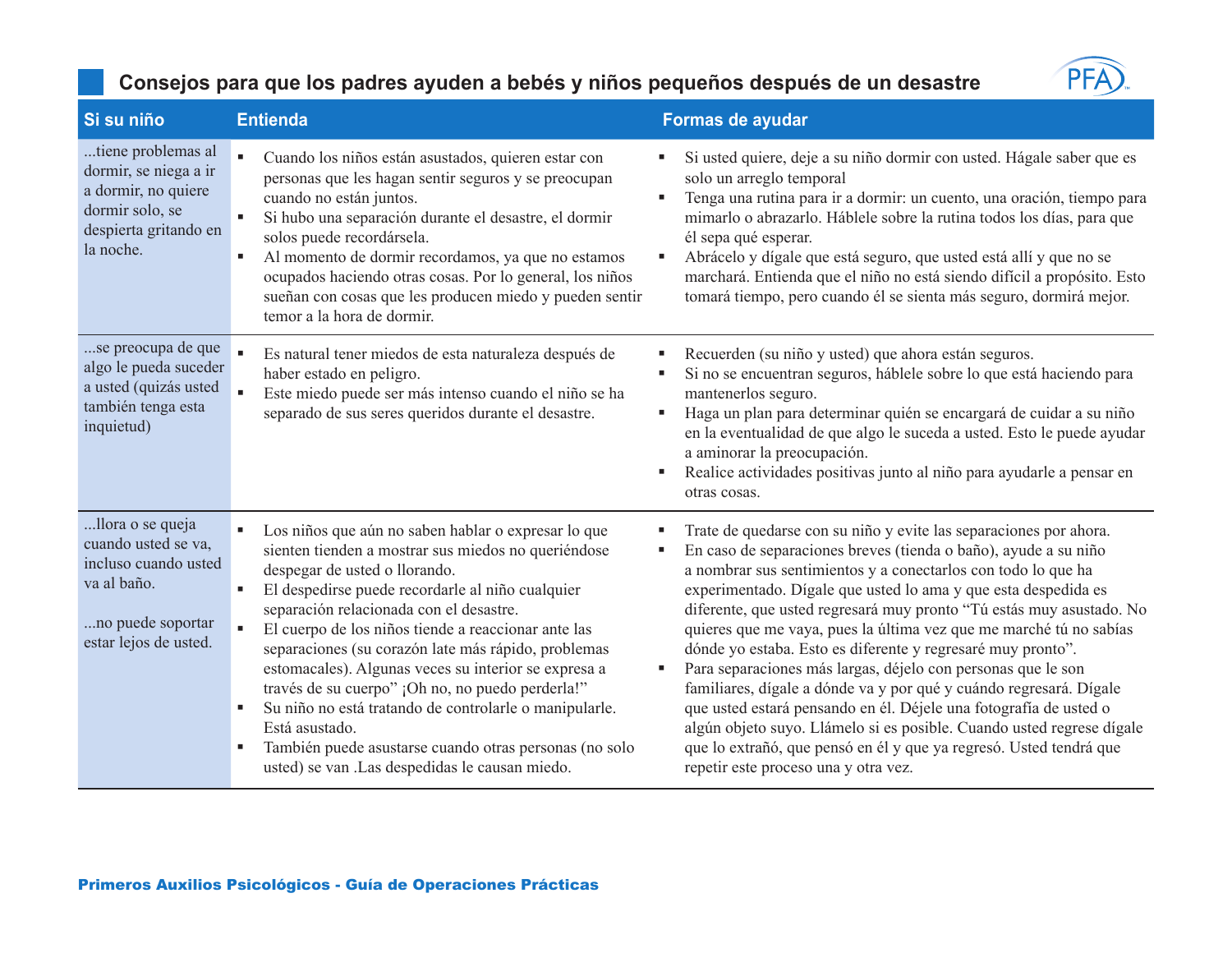

| Si su niño                                                                                                                   | <b>Entienda</b>                                                                                                                                                                                                                                                                                                                                                                                                                                                                                                                                                                                                                                                   | Formas de ayudar                                                                                                                                                                                                                                                                                                                                                                                                                                                                                                                                                                                                                                                                                                                                                                                                                                                                            |
|------------------------------------------------------------------------------------------------------------------------------|-------------------------------------------------------------------------------------------------------------------------------------------------------------------------------------------------------------------------------------------------------------------------------------------------------------------------------------------------------------------------------------------------------------------------------------------------------------------------------------------------------------------------------------------------------------------------------------------------------------------------------------------------------------------|---------------------------------------------------------------------------------------------------------------------------------------------------------------------------------------------------------------------------------------------------------------------------------------------------------------------------------------------------------------------------------------------------------------------------------------------------------------------------------------------------------------------------------------------------------------------------------------------------------------------------------------------------------------------------------------------------------------------------------------------------------------------------------------------------------------------------------------------------------------------------------------------|
| tiene problemas al<br>dormir, se niega a ir<br>a dormir, no quiere<br>dormir solo, se<br>despierta gritando en<br>la noche.  | Cuando los niños están asustados, quieren estar con<br>personas que les hagan sentir seguros y se preocupan<br>cuando no están juntos.<br>Si hubo una separación durante el desastre, el dormir<br>solos puede recordársela.<br>Al momento de dormir recordamos, ya que no estamos<br>٠<br>ocupados haciendo otras cosas. Por lo general, los niños<br>sueñan con cosas que les producen miedo y pueden sentir<br>temor a la hora de dormir.                                                                                                                                                                                                                      | Si usted quiere, deje a su niño dormir con usted. Hágale saber que es<br>solo un arreglo temporal<br>Tenga una rutina para ir a dormir: un cuento, una oración, tiempo para<br>mimarlo o abrazarlo. Háblele sobre la rutina todos los días, para que<br>él sepa qué esperar.<br>Abrácelo y dígale que está seguro, que usted está allí y que no se<br>п<br>marchará. Entienda que el niño no está siendo difícil a propósito. Esto<br>tomará tiempo, pero cuando él se sienta más seguro, dormirá mejor.                                                                                                                                                                                                                                                                                                                                                                                    |
| se preocupa de que<br>algo le pueda suceder<br>a usted (quizás usted<br>también tenga esta<br>inquietud)                     | Es natural tener miedos de esta naturaleza después de<br>haber estado en peligro.<br>Este miedo puede ser más intenso cuando el niño se ha<br>separado de sus seres queridos durante el desastre.                                                                                                                                                                                                                                                                                                                                                                                                                                                                 | Recuerden (su niño y usted) que ahora están seguros.<br>Si no se encuentran seguros, háblele sobre lo que está haciendo para<br>mantenerlos seguro.<br>Haga un plan para determinar quién se encargará de cuidar a su niño<br>٠<br>en la eventualidad de que algo le suceda a usted. Esto le puede ayudar<br>a aminorar la preocupación.<br>Realice actividades positivas junto al niño para ayudarle a pensar en<br>otras cosas.                                                                                                                                                                                                                                                                                                                                                                                                                                                           |
| llora o se queja<br>cuando usted se va,<br>incluso cuando usted<br>va al baño.<br>no puede soportar<br>estar lejos de usted. | Los niños que aún no saben hablar o expresar lo que<br>sienten tienden a mostrar sus miedos no queriéndose<br>despegar de usted o llorando.<br>El despedirse puede recordarle al niño cualquier<br>separación relacionada con el desastre.<br>El cuerpo de los niños tiende a reaccionar ante las<br>separaciones (su corazón late más rápido, problemas<br>estomacales). Algunas veces su interior se expresa a<br>través de su cuerpo" ¡Oh no, no puedo perderla!"<br>Su niño no está tratando de controlarle o manipularle.<br>ш<br>Está asustado.<br>También puede asustarse cuando otras personas (no solo<br>usted) se van .Las despedidas le causan miedo. | Trate de quedarse con su niño y evite las separaciones por ahora.<br>En caso de separaciones breves (tienda o baño), ayude a su niño<br>a nombrar sus sentimientos y a conectarlos con todo lo que ha<br>experimentado. Dígale que usted lo ama y que esta despedida es<br>diferente, que usted regresará muy pronto "Tú estás muy asustado. No<br>quieres que me vaya, pues la última vez que me marché tú no sabías<br>dónde yo estaba. Esto es diferente y regresaré muy pronto".<br>Para separaciones más largas, déjelo con personas que le son<br>٠<br>familiares, dígale a dónde va y por qué y cuándo regresará. Dígale<br>que usted estará pensando en él. Déjele una fotografía de usted o<br>algún objeto suyo. Llámelo si es posible. Cuando usted regrese dígale<br>que lo extrañó, que pensó en él y que ya regresó. Usted tendrá que<br>repetir este proceso una y otra vez. |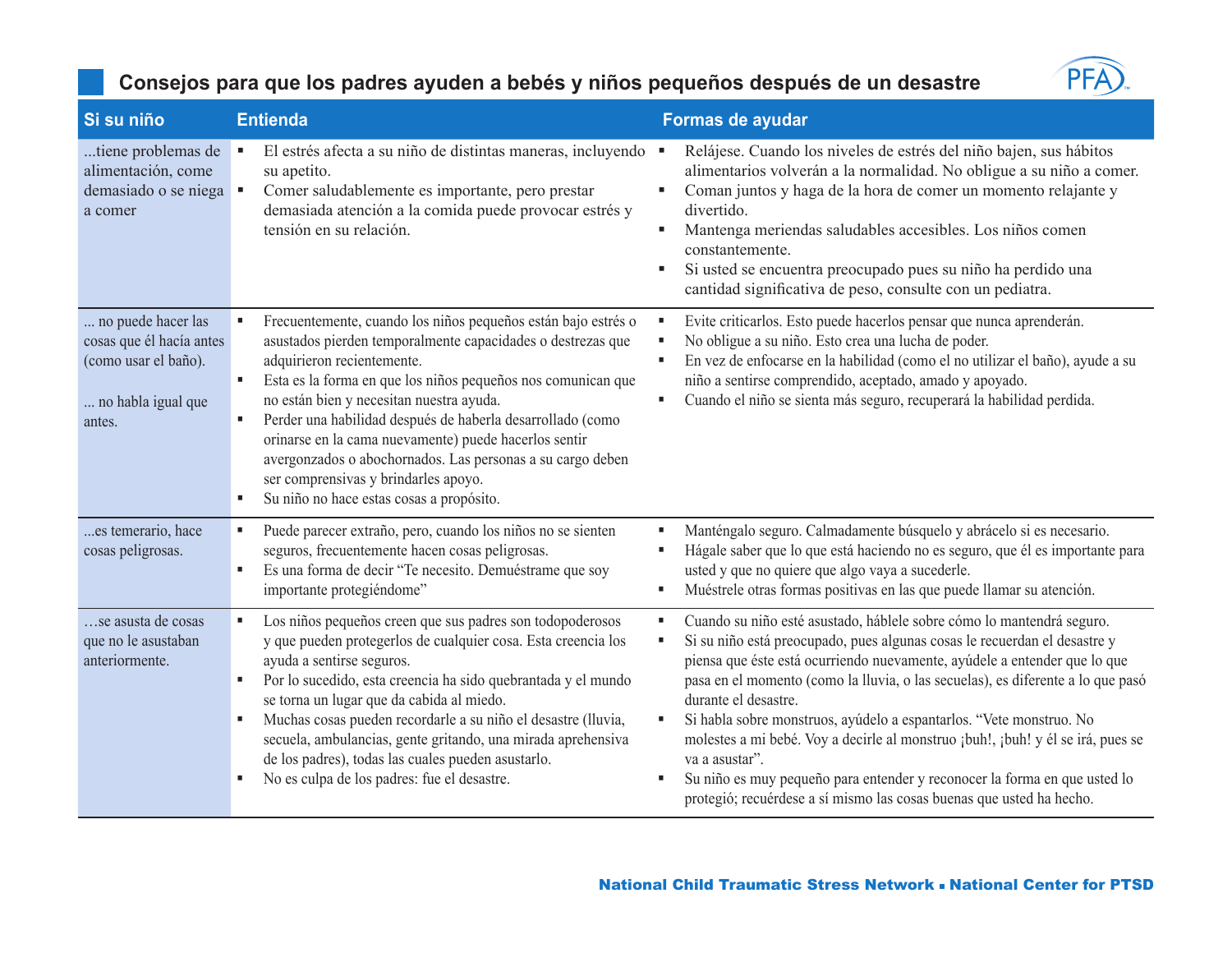

| Si su niño                                                                                             | <b>Entienda</b>                                                                                                                                                                                                                                                                                                                                                                                                                                                                                                                                                             | Formas de ayudar                                                                                                                                                                                                                                                                                                                                                                                                                                                                                                                                                                                                                                                                                        |
|--------------------------------------------------------------------------------------------------------|-----------------------------------------------------------------------------------------------------------------------------------------------------------------------------------------------------------------------------------------------------------------------------------------------------------------------------------------------------------------------------------------------------------------------------------------------------------------------------------------------------------------------------------------------------------------------------|---------------------------------------------------------------------------------------------------------------------------------------------------------------------------------------------------------------------------------------------------------------------------------------------------------------------------------------------------------------------------------------------------------------------------------------------------------------------------------------------------------------------------------------------------------------------------------------------------------------------------------------------------------------------------------------------------------|
| tiene problemas de<br>alimentación, come<br>demasiado o se niega<br>a comer                            | El estrés afecta a su niño de distintas maneras, incluyendo<br>٠<br>su apetito.<br>$\blacksquare$<br>Comer saludablemente es importante, pero prestar<br>demasiada atención a la comida puede provocar estrés y<br>tensión en su relación.                                                                                                                                                                                                                                                                                                                                  | Relájese. Cuando los niveles de estrés del niño bajen, sus hábitos<br>$\blacksquare$<br>alimentarios volverán a la normalidad. No obligue a su niño a comer.<br>Coman juntos y haga de la hora de comer un momento relajante y<br>٠<br>divertido.<br>Mantenga meriendas saludables accesibles. Los niños comen<br>٠<br>constantemente.<br>Si usted se encuentra preocupado pues su niño ha perdido una<br>٠<br>cantidad significativa de peso, consulte con un pediatra.                                                                                                                                                                                                                                |
| no puede hacer las<br>cosas que él hacía antes<br>(como usar el baño).<br>no habla igual que<br>antes. | Frecuentemente, cuando los niños pequeños están bajo estrés o<br>asustados pierden temporalmente capacidades o destrezas que<br>adquirieron recientemente.<br>Esta es la forma en que los niños pequeños nos comunican que<br>$\blacksquare$<br>no están bien y necesitan nuestra ayuda.<br>Perder una habilidad después de haberla desarrollado (como<br>п<br>orinarse en la cama nuevamente) puede hacerlos sentir<br>avergonzados o abochornados. Las personas a su cargo deben<br>ser comprensivas y brindarles apoyo.<br>Su niño no hace estas cosas a propósito.<br>٠ | Evite criticarlos. Esto puede hacerlos pensar que nunca aprenderán.<br>п<br>No obligue a su niño. Esto crea una lucha de poder.<br>п<br>En vez de enfocarse en la habilidad (como el no utilizar el baño), ayude a su<br>$\blacksquare$<br>niño a sentirse comprendido, aceptado, amado y apoyado.<br>Cuando el niño se sienta más seguro, recuperará la habilidad perdida.<br>٠                                                                                                                                                                                                                                                                                                                        |
| es temerario, hace<br>cosas peligrosas.                                                                | Puede parecer extraño, pero, cuando los niños no se sienten<br>٠<br>seguros, frecuentemente hacen cosas peligrosas.<br>Es una forma de decir "Te necesito. Demuéstrame que soy<br>٠<br>importante protegiéndome"                                                                                                                                                                                                                                                                                                                                                            | Manténgalo seguro. Calmadamente búsquelo y abrácelo si es necesario.<br>٠<br>Hágale saber que lo que está haciendo no es seguro, que él es importante para<br>٠<br>usted y que no quiere que algo vaya a sucederle.<br>Muéstrele otras formas positivas en las que puede llamar su atención.<br>٠                                                                                                                                                                                                                                                                                                                                                                                                       |
| se asusta de cosas<br>que no le asustaban<br>anteriormente.                                            | Los niños pequeños creen que sus padres son todopoderosos<br>y que pueden protegerlos de cualquier cosa. Esta creencia los<br>ayuda a sentirse seguros.<br>Por lo sucedido, esta creencia ha sido quebrantada y el mundo<br>٠<br>se torna un lugar que da cabida al miedo.<br>Muchas cosas pueden recordarle a su niño el desastre (lluvia,<br>٠<br>secuela, ambulancias, gente gritando, una mirada aprehensiva<br>de los padres), todas las cuales pueden asustarlo.<br>No es culpa de los padres: fue el desastre.<br>٠                                                  | Cuando su niño esté asustado, háblele sobre cómo lo mantendrá seguro.<br>٠<br>Si su niño está preocupado, pues algunas cosas le recuerdan el desastre y<br>٠<br>piensa que éste está ocurriendo nuevamente, ayúdele a entender que lo que<br>pasa en el momento (como la lluvia, o las secuelas), es diferente a lo que pasó<br>durante el desastre.<br>Si habla sobre monstruos, ayúdelo a espantarlos. "Vete monstruo. No<br>$\blacksquare$<br>molestes a mi bebé. Voy a decirle al monstruo ¡buh!, ¡buh! y él se irá, pues se<br>va a asustar".<br>Su niño es muy pequeño para entender y reconocer la forma en que usted lo<br>protegió; recuérdese a sí mismo las cosas buenas que usted ha hecho. |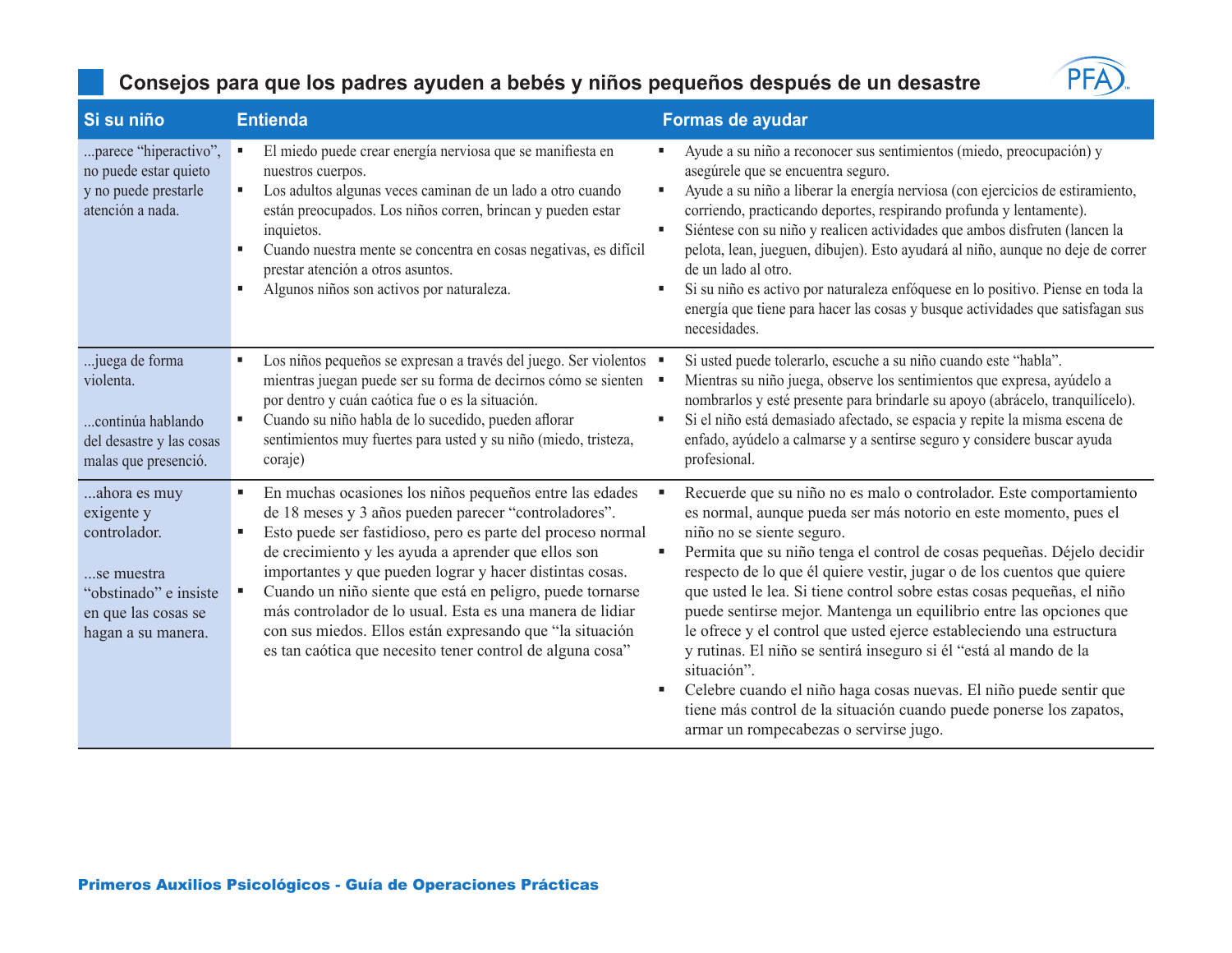

| Si su niño                                                                                                                     | <b>Entienda</b>                                                                                                                                                                                                                                                                                                                                                                                                                                                                                                                                      | Formas de ayudar                                                                                                                                                                                                                                                                                                                                                                                                                                                                                                                                                                                                                                                                                                                                                                                                                           |
|--------------------------------------------------------------------------------------------------------------------------------|------------------------------------------------------------------------------------------------------------------------------------------------------------------------------------------------------------------------------------------------------------------------------------------------------------------------------------------------------------------------------------------------------------------------------------------------------------------------------------------------------------------------------------------------------|--------------------------------------------------------------------------------------------------------------------------------------------------------------------------------------------------------------------------------------------------------------------------------------------------------------------------------------------------------------------------------------------------------------------------------------------------------------------------------------------------------------------------------------------------------------------------------------------------------------------------------------------------------------------------------------------------------------------------------------------------------------------------------------------------------------------------------------------|
| parece "hiperactivo",<br>no puede estar quieto<br>y no puede prestarle<br>atención a nada.                                     | El miedo puede crear energía nerviosa que se manifiesta en<br>nuestros cuerpos.<br>Los adultos algunas veces caminan de un lado a otro cuando<br>ш<br>están preocupados. Los niños corren, brincan y pueden estar<br>inquietos.<br>Cuando nuestra mente se concentra en cosas negativas, es difícil<br>prestar atención a otros asuntos.<br>Algunos niños son activos por naturaleza.<br>٠                                                                                                                                                           | Ayude a su niño a reconocer sus sentimientos (miedo, preocupación) y<br>asegúrele que se encuentra seguro.<br>Ayude a su niño a liberar la energía nerviosa (con ejercicios de estiramiento,<br>٠<br>corriendo, practicando deportes, respirando profunda y lentamente).<br>Siéntese con su niño y realicen actividades que ambos disfruten (lancen la<br>٠<br>pelota, lean, jueguen, dibujen). Esto ayudará al niño, aunque no deje de correr<br>de un lado al otro.<br>Si su niño es activo por naturaleza enfóquese en lo positivo. Piense en toda la<br>٠<br>energía que tiene para hacer las cosas y busque actividades que satisfagan sus<br>necesidades.                                                                                                                                                                            |
| juega de forma<br>violenta.<br>continúa hablando<br>del desastre y las cosas<br>malas que presenció.                           | Los niños pequeños se expresan a través del juego. Ser violentos ·<br>mientras juegan puede ser su forma de decirnos cómo se sienten ·<br>por dentro y cuán caótica fue o es la situación.<br>Cuando su niño habla de lo sucedido, pueden aflorar<br>sentimientos muy fuertes para usted y su niño (miedo, tristeza,<br>coraje)                                                                                                                                                                                                                      | Si usted puede tolerarlo, escuche a su niño cuando este "habla".<br>Mientras su niño juega, observe los sentimientos que expresa, ayúdelo a<br>nombrarlos y esté presente para brindarle su apoyo (abrácelo, tranquilícelo).<br>Si el niño está demasiado afectado, se espacia y repite la misma escena de<br>٠<br>enfado, ayúdelo a calmarse y a sentirse seguro y considere buscar ayuda<br>profesional.                                                                                                                                                                                                                                                                                                                                                                                                                                 |
| ahora es muy<br>exigente y<br>controlador.<br>se muestra<br>"obstinado" e insiste<br>en que las cosas se<br>hagan a su manera. | En muchas ocasiones los niños pequeños entre las edades<br>de 18 meses y 3 años pueden parecer "controladores".<br>Esto puede ser fastidioso, pero es parte del proceso normal<br>de crecimiento y les ayuda a aprender que ellos son<br>importantes y que pueden lograr y hacer distintas cosas.<br>Cuando un niño siente que está en peligro, puede tornarse<br>más controlador de lo usual. Esta es una manera de lidiar<br>con sus miedos. Ellos están expresando que "la situación<br>es tan caótica que necesito tener control de alguna cosa" | Recuerde que su niño no es malo o controlador. Este comportamiento<br>л<br>es normal, aunque pueda ser más notorio en este momento, pues el<br>niño no se siente seguro.<br>Permita que su niño tenga el control de cosas pequeñas. Déjelo decidir<br>п<br>respecto de lo que él quiere vestir, jugar o de los cuentos que quiere<br>que usted le lea. Si tiene control sobre estas cosas pequeñas, el niño<br>puede sentirse mejor. Mantenga un equilibrio entre las opciones que<br>le ofrece y el control que usted ejerce estableciendo una estructura<br>y rutinas. El niño se sentirá inseguro si él "está al mando de la<br>situación".<br>Celebre cuando el niño haga cosas nuevas. El niño puede sentir que<br>٠<br>tiene más control de la situación cuando puede ponerse los zapatos,<br>armar un rompecabezas o servirse jugo. |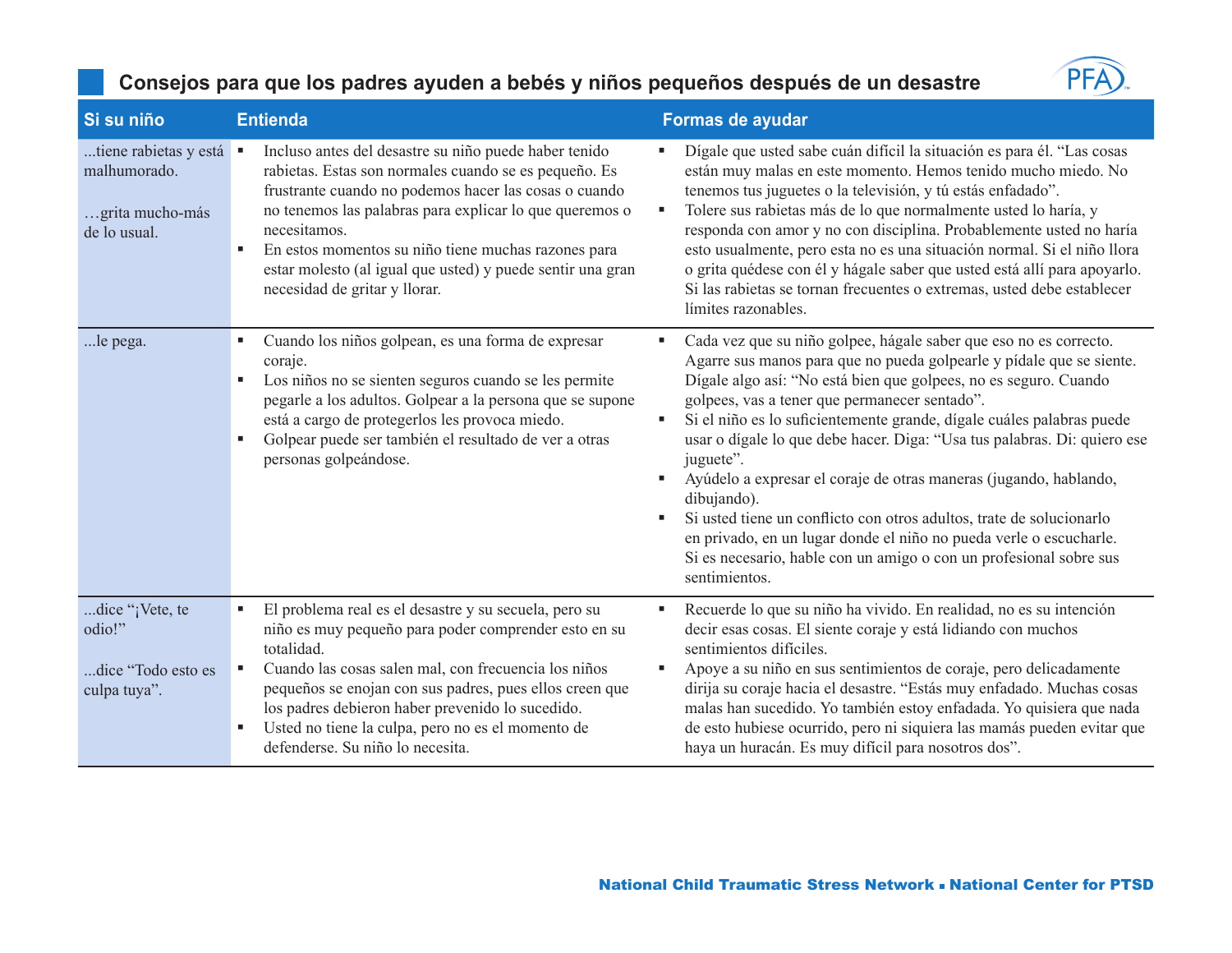

| Si su niño                                                               | <b>Entienda</b>                                                                                                                                                                                                                                                                                                                                                                                               | Formas de ayudar                                                                                                                                                                                                                                                                                                                                                                                                                                                                                                                                                                                                                                                                                                                                                              |
|--------------------------------------------------------------------------|---------------------------------------------------------------------------------------------------------------------------------------------------------------------------------------------------------------------------------------------------------------------------------------------------------------------------------------------------------------------------------------------------------------|-------------------------------------------------------------------------------------------------------------------------------------------------------------------------------------------------------------------------------------------------------------------------------------------------------------------------------------------------------------------------------------------------------------------------------------------------------------------------------------------------------------------------------------------------------------------------------------------------------------------------------------------------------------------------------------------------------------------------------------------------------------------------------|
| tiene rabietas y está<br>malhumorado.<br>grita mucho-más<br>de lo usual. | Incluso antes del desastre su niño puede haber tenido<br>л<br>rabietas. Estas son normales cuando se es pequeño. Es<br>frustrante cuando no podemos hacer las cosas o cuando<br>no tenemos las palabras para explicar lo que queremos o<br>necesitamos.<br>En estos momentos su niño tiene muchas razones para<br>estar molesto (al igual que usted) y puede sentir una gran<br>necesidad de gritar y llorar. | Dígale que usted sabe cuán difícil la situación es para él. "Las cosas<br>٠<br>están muy malas en este momento. Hemos tenido mucho miedo. No<br>tenemos tus juguetes o la televisión, y tú estás enfadado".<br>Tolere sus rabietas más de lo que normalmente usted lo haría, y<br>٠<br>responda con amor y no con disciplina. Probablemente usted no haría<br>esto usualmente, pero esta no es una situación normal. Si el niño llora<br>o grita quédese con él y hágale saber que usted está allí para apoyarlo.<br>Si las rabietas se tornan frecuentes o extremas, usted debe establecer<br>límites razonables.                                                                                                                                                            |
| le pega.                                                                 | Cuando los niños golpean, es una forma de expresar<br>coraje.<br>Los niños no se sienten seguros cuando se les permite<br>٠<br>pegarle a los adultos. Golpear a la persona que se supone<br>está a cargo de protegerlos les provoca miedo.<br>Golpear puede ser también el resultado de ver a otras<br>personas golpeándose.                                                                                  | Cada vez que su niño golpee, hágale saber que eso no es correcto.<br>в<br>Agarre sus manos para que no pueda golpearle y pídale que se siente.<br>Dígale algo así: "No está bien que golpees, no es seguro. Cuando<br>golpees, vas a tener que permanecer sentado".<br>Si el niño es lo suficientemente grande, dígale cuáles palabras puede<br>٠<br>usar o dígale lo que debe hacer. Diga: "Usa tus palabras. Di: quiero ese<br>juguete".<br>Ayúdelo a expresar el coraje de otras maneras (jugando, hablando,<br>٠<br>dibujando).<br>Si usted tiene un conflicto con otros adultos, trate de solucionarlo<br>٠<br>en privado, en un lugar donde el niño no pueda verle o escucharle.<br>Si es necesario, hable con un amigo o con un profesional sobre sus<br>sentimientos. |
| dice "¡Vete, te<br>odio!"<br>dice "Todo esto es<br>culpa tuya".          | El problema real es el desastre y su secuela, pero su<br>niño es muy pequeño para poder comprender esto en su<br>totalidad.<br>Cuando las cosas salen mal, con frecuencia los niños<br>٠<br>pequeños se enojan con sus padres, pues ellos creen que<br>los padres debieron haber prevenido lo sucedido.<br>Usted no tiene la culpa, pero no es el momento de<br>defenderse. Su niño lo necesita.              | Recuerde lo que su niño ha vivido. En realidad, no es su intención<br>٠<br>decir esas cosas. El siente coraje y está lidiando con muchos<br>sentimientos difíciles.<br>Apoye a su niño en sus sentimientos de coraje, pero delicadamente<br>٠<br>dirija su coraje hacia el desastre. "Estás muy enfadado. Muchas cosas<br>malas han sucedido. Yo también estoy enfadada. Yo quisiera que nada<br>de esto hubiese ocurrido, pero ni siquiera las mamás pueden evitar que<br>haya un huracán. Es muy difícil para nosotros dos".                                                                                                                                                                                                                                                |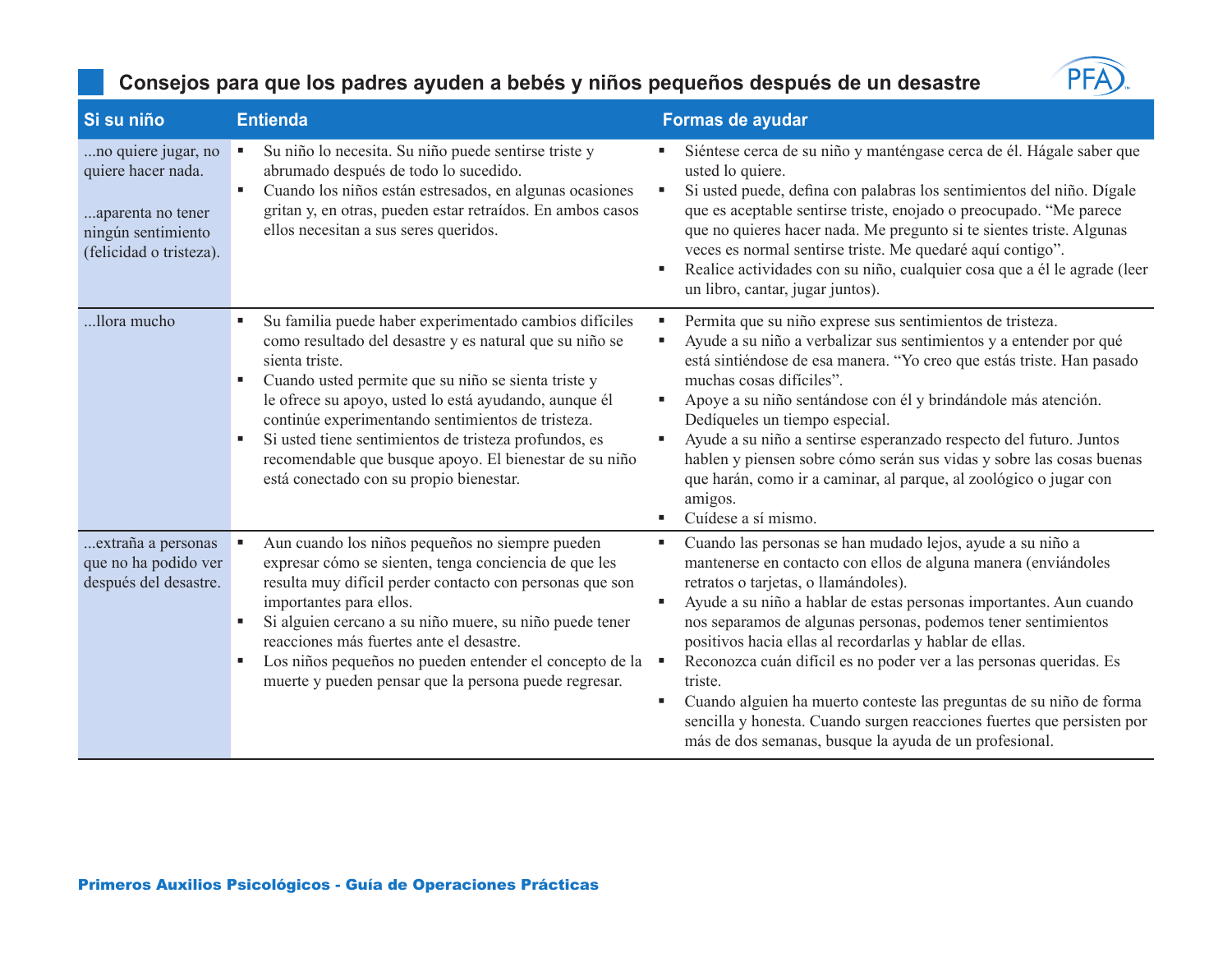

| Si su niño                                                                                                      | <b>Entienda</b>                                                                                                                                                                                                                                                                                                                                                                                                                                                                       | Formas de ayudar                                                                                                                                                                                                                                                                                                                                                                                                                                                                                                                                                                                                                                                                  |
|-----------------------------------------------------------------------------------------------------------------|---------------------------------------------------------------------------------------------------------------------------------------------------------------------------------------------------------------------------------------------------------------------------------------------------------------------------------------------------------------------------------------------------------------------------------------------------------------------------------------|-----------------------------------------------------------------------------------------------------------------------------------------------------------------------------------------------------------------------------------------------------------------------------------------------------------------------------------------------------------------------------------------------------------------------------------------------------------------------------------------------------------------------------------------------------------------------------------------------------------------------------------------------------------------------------------|
| no quiere jugar, no<br>quiere hacer nada.<br>aparenta no tener<br>ningún sentimiento<br>(felicidad o tristeza). | Su niño lo necesita. Su niño puede sentirse triste y<br>٠<br>abrumado después de todo lo sucedido.<br>Cuando los niños están estresados, en algunas ocasiones<br>gritan y, en otras, pueden estar retraídos. En ambos casos<br>ellos necesitan a sus seres queridos.                                                                                                                                                                                                                  | Siéntese cerca de su niño y manténgase cerca de él. Hágale saber que<br>usted lo quiere.<br>Si usted puede, defina con palabras los sentimientos del niño. Dígale<br>٠<br>que es aceptable sentirse triste, enojado o preocupado. "Me parece<br>que no quieres hacer nada. Me pregunto si te sientes triste. Algunas<br>veces es normal sentirse triste. Me quedaré aquí contigo".<br>Realice actividades con su niño, cualquier cosa que a él le agrade (leer<br>un libro, cantar, jugar juntos).                                                                                                                                                                                |
| llora mucho                                                                                                     | Su familia puede haber experimentado cambios difíciles<br>ш<br>como resultado del desastre y es natural que su niño se<br>sienta triste.<br>Cuando usted permite que su niño se sienta triste y<br>٠<br>le ofrece su apoyo, usted lo está ayudando, aunque él<br>continúe experimentando sentimientos de tristeza.<br>Si usted tiene sentimientos de tristeza profundos, es<br>٠<br>recomendable que busque apoyo. El bienestar de su niño<br>está conectado con su propio bienestar. | Permita que su niño exprese sus sentimientos de tristeza.<br>٠<br>Ayude a su niño a verbalizar sus sentimientos y a entender por qué<br>п<br>está sintiéndose de esa manera. "Yo creo que estás triste. Han pasado<br>muchas cosas difíciles".<br>Apoye a su niño sentándose con él y brindándole más atención.<br>٠<br>Dedíqueles un tiempo especial.<br>Ayude a su niño a sentirse esperanzado respecto del futuro. Juntos<br>٠<br>hablen y piensen sobre cómo serán sus vidas y sobre las cosas buenas<br>que harán, como ir a caminar, al parque, al zoológico o jugar con<br>amigos.<br>Cuídese a sí mismo.<br>٠                                                             |
| extraña a personas<br>que no ha podido ver<br>después del desastre.                                             | Aun cuando los niños pequeños no siempre pueden<br>expresar cómo se sienten, tenga conciencia de que les<br>resulta muy difícil perder contacto con personas que son<br>importantes para ellos.<br>Si alguien cercano a su niño muere, su niño puede tener<br>reacciones más fuertes ante el desastre.<br>Los niños pequeños no pueden entender el concepto de la<br>٠<br>muerte y pueden pensar que la persona puede regresar.                                                       | Cuando las personas se han mudado lejos, ayude a su niño a<br>٠<br>mantenerse en contacto con ellos de alguna manera (enviándoles<br>retratos o tarjetas, o llamándoles).<br>Ayude a su niño a hablar de estas personas importantes. Aun cuando<br>٠<br>nos separamos de algunas personas, podemos tener sentimientos<br>positivos hacia ellas al recordarlas y hablar de ellas.<br>Reconozca cuán difícil es no poder ver a las personas queridas. Es<br>triste.<br>Cuando alguien ha muerto conteste las preguntas de su niño de forma<br>л<br>sencilla y honesta. Cuando surgen reacciones fuertes que persisten por<br>más de dos semanas, busque la ayuda de un profesional. |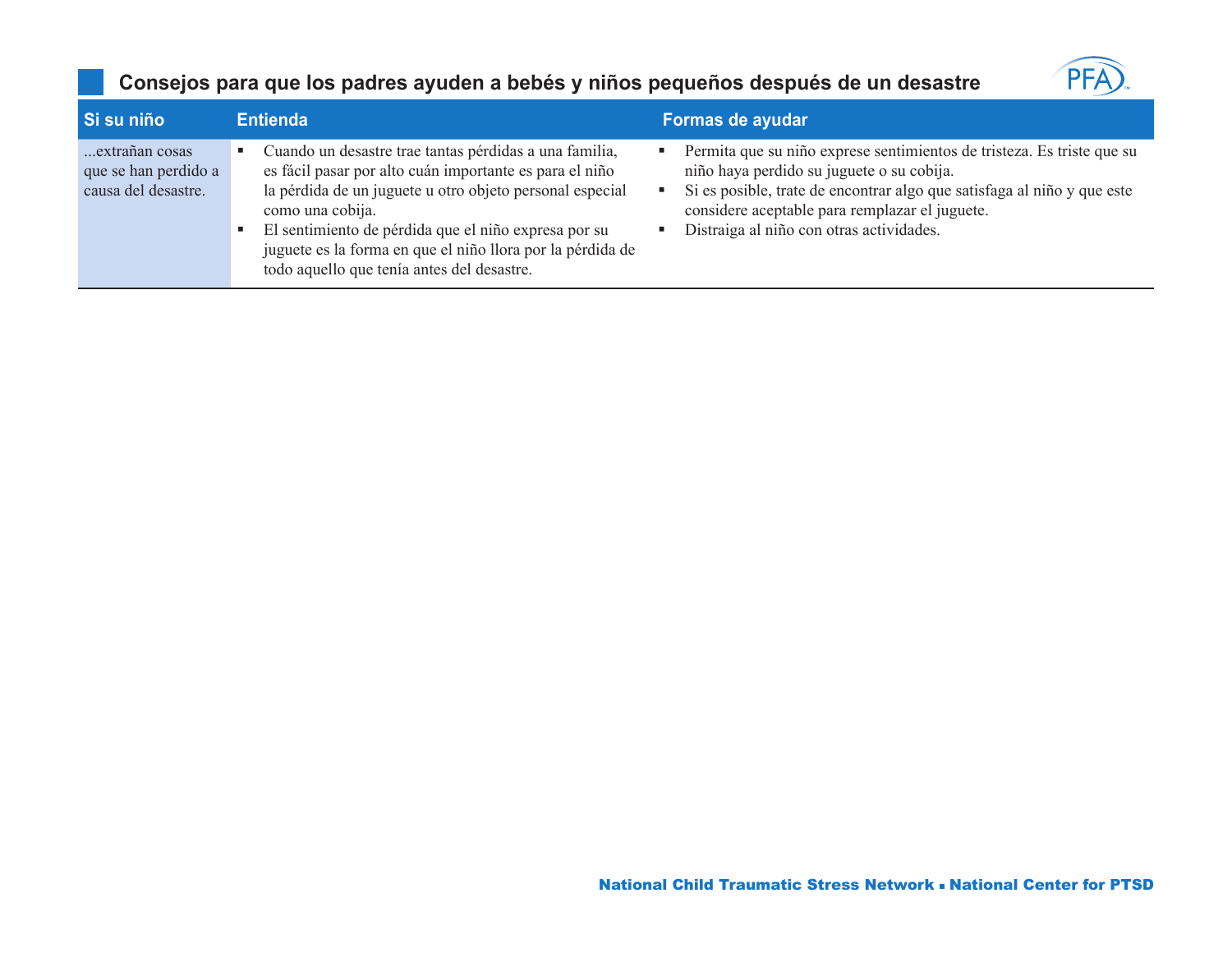

| Si su niño                                                    | <b>Entienda</b>                                                                                                                                                                                                                                                                                                                                                       | Formas de ayudar                                                                                                                                                                                                                                                                             |
|---------------------------------------------------------------|-----------------------------------------------------------------------------------------------------------------------------------------------------------------------------------------------------------------------------------------------------------------------------------------------------------------------------------------------------------------------|----------------------------------------------------------------------------------------------------------------------------------------------------------------------------------------------------------------------------------------------------------------------------------------------|
| extrañan cosas<br>que se han perdido a<br>causa del desastre. | Cuando un desastre trae tantas pérdidas a una familia,<br>es fácil pasar por alto cuán importante es para el niño<br>la pérdida de un juguete u otro objeto personal especial<br>como una cobija.<br>El sentimiento de pérdida que el niño expresa por su<br>juguete es la forma en que el niño llora por la pérdida de<br>todo aquello que tenía antes del desastre. | Permita que su niño exprese sentimientos de tristeza. Es triste que su<br>niño haya perdido su juguete o su cobija.<br>Si es posible, trate de encontrar algo que satisfaga al niño y que este<br>considere aceptable para remplazar el juguete.<br>Distraiga al niño con otras actividades. |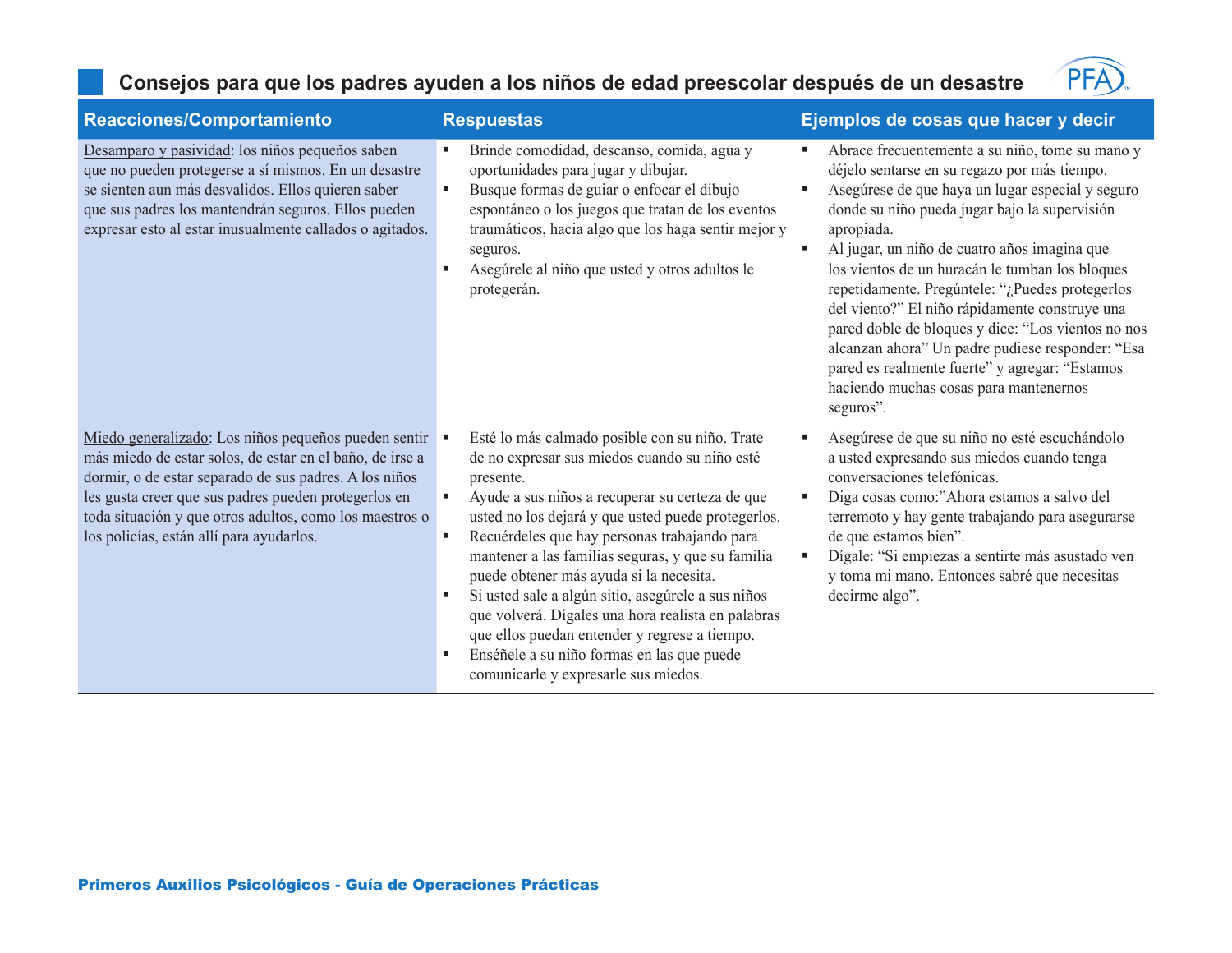#### **Consejos para que los padres ayuden a los niños de edad preescolar después de un desastre**



| Reacciones/Comportamiento                                                                                                                                                                                                                                                                                                                 | <b>Respuestas</b>                                                                                                                                                                                                                                                                                                                                                                                                                                                                                                                                                                                                                        | Ejemplos de cosas que hacer y decir                                                                                                                                                                                                                                                                                                                                                                                                                                                                                                                                                                                                                          |
|-------------------------------------------------------------------------------------------------------------------------------------------------------------------------------------------------------------------------------------------------------------------------------------------------------------------------------------------|------------------------------------------------------------------------------------------------------------------------------------------------------------------------------------------------------------------------------------------------------------------------------------------------------------------------------------------------------------------------------------------------------------------------------------------------------------------------------------------------------------------------------------------------------------------------------------------------------------------------------------------|--------------------------------------------------------------------------------------------------------------------------------------------------------------------------------------------------------------------------------------------------------------------------------------------------------------------------------------------------------------------------------------------------------------------------------------------------------------------------------------------------------------------------------------------------------------------------------------------------------------------------------------------------------------|
| Desamparo y pasividad: los niños pequeños saben<br>que no pueden protegerse a sí mismos. En un desastre<br>se sienten aun más desvalidos. Ellos quieren saber<br>que sus padres los mantendrán seguros. Ellos pueden<br>expresar esto al estar inusualmente callados o agitados.                                                          | Brinde comodidad, descanso, comida, agua y<br>oportunidades para jugar y dibujar.<br>Busque formas de guiar o enfocar el dibujo<br>٠<br>espontáneo o los juegos que tratan de los eventos<br>traumáticos, hacia algo que los haga sentir mejor y<br>seguros.<br>Asegúrele al niño que usted y otros adultos le<br>protegerán.                                                                                                                                                                                                                                                                                                            | Abrace frecuentemente a su niño, tome su mano y<br>٠<br>déjelo sentarse en su regazo por más tiempo.<br>Asegúrese de que haya un lugar especial y seguro<br>٠<br>donde su niño pueda jugar bajo la supervisión<br>apropiada.<br>Al jugar, un niño de cuatro años imagina que<br>٠<br>los vientos de un huracán le tumban los bloques<br>repetidamente. Pregúntele: "¿Puedes protegerlos<br>del viento?" El niño rápidamente construye una<br>pared doble de bloques y dice: "Los vientos no nos<br>alcanzan ahora" Un padre pudiese responder: "Esa<br>pared es realmente fuerte" y agregar: "Estamos<br>haciendo muchas cosas para mantenernos<br>seguros". |
| Miedo generalizado: Los niños pequeños pueden sentir<br>más miedo de estar solos, de estar en el baño, de irse a<br>dormir, o de estar separado de sus padres. A los niños<br>les gusta creer que sus padres pueden protegerlos en<br>toda situación y que otros adultos, como los maestros o<br>los policías, están allí para ayudarlos. | Esté lo más calmado posible con su niño. Trate<br>de no expresar sus miedos cuando su niño esté<br>presente.<br>Ayude a sus niños a recuperar su certeza de que<br>٠<br>usted no los dejará y que usted puede protegerlos.<br>Recuérdeles que hay personas trabajando para<br>٠<br>mantener a las familias seguras, y que su familia<br>puede obtener más ayuda si la necesita.<br>Si usted sale a algún sitio, asegúrele a sus niños<br>que volverá. Dígales una hora realista en palabras<br>que ellos puedan entender y regrese a tiempo.<br>Enséñele a su niño formas en las que puede<br>л.<br>comunicarle y expresarle sus miedos. | Asegúrese de que su niño no esté escuchándolo<br>٠<br>a usted expresando sus miedos cuando tenga<br>conversaciones telefónicas.<br>Diga cosas como:"Ahora estamos a salvo del<br>٠<br>terremoto y hay gente trabajando para asegurarse<br>de que estamos bien".<br>Dígale: "Si empiezas a sentirte más asustado ven<br>л<br>y toma mi mano. Entonces sabré que necesitas<br>decirme algo".                                                                                                                                                                                                                                                                   |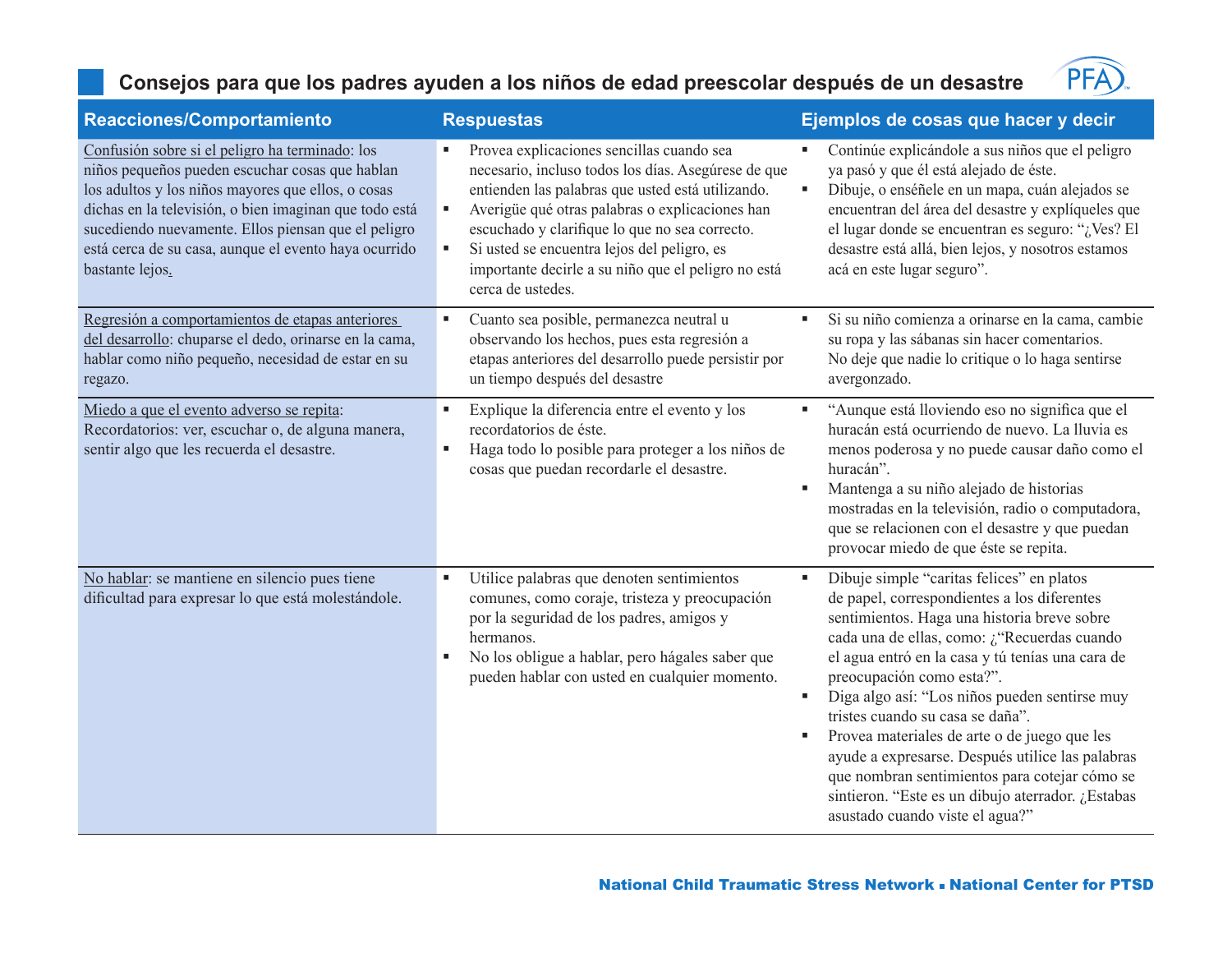#### **Consejos para que los padres ayuden a los niños de edad preescolar después de un desastre**



| Reacciones/Comportamiento                                                                                                                                                                                                                                                                                                                             | <b>Respuestas</b>                                                                                                                                                                                                                                                                                                                                                                               | Ejemplos de cosas que hacer y decir                                                                                                                                                                                                                                                                                                                                                                                                                                                                                                                                                                                                   |
|-------------------------------------------------------------------------------------------------------------------------------------------------------------------------------------------------------------------------------------------------------------------------------------------------------------------------------------------------------|-------------------------------------------------------------------------------------------------------------------------------------------------------------------------------------------------------------------------------------------------------------------------------------------------------------------------------------------------------------------------------------------------|---------------------------------------------------------------------------------------------------------------------------------------------------------------------------------------------------------------------------------------------------------------------------------------------------------------------------------------------------------------------------------------------------------------------------------------------------------------------------------------------------------------------------------------------------------------------------------------------------------------------------------------|
| Confusión sobre si el peligro ha terminado: los<br>niños pequeños pueden escuchar cosas que hablan<br>los adultos y los niños mayores que ellos, o cosas<br>dichas en la televisión, o bien imaginan que todo está<br>sucediendo nuevamente. Ellos piensan que el peligro<br>está cerca de su casa, aunque el evento haya ocurrido<br>bastante lejos. | Provea explicaciones sencillas cuando sea<br>necesario, incluso todos los días. Asegúrese de que<br>entienden las palabras que usted está utilizando.<br>Averigüe qué otras palabras o explicaciones han<br>٠<br>escuchado y clarifique lo que no sea correcto.<br>Si usted se encuentra lejos del peligro, es<br>٠<br>importante decirle a su niño que el peligro no está<br>cerca de ustedes. | Continúe explicándole a sus niños que el peligro<br>ya pasó y que él está alejado de éste.<br>Dibuje, o enséñele en un mapa, cuán alejados se<br>×<br>encuentran del área del desastre y explíqueles que<br>el lugar donde se encuentran es seguro: "¿Ves? El<br>desastre está allá, bien lejos, y nosotros estamos<br>acá en este lugar seguro".                                                                                                                                                                                                                                                                                     |
| Regresión a comportamientos de etapas anteriores<br>del desarrollo: chuparse el dedo, orinarse en la cama,<br>hablar como niño pequeño, necesidad de estar en su<br>regazo.                                                                                                                                                                           | Cuanto sea posible, permanezca neutral u<br>observando los hechos, pues esta regresión a<br>etapas anteriores del desarrollo puede persistir por<br>un tiempo después del desastre                                                                                                                                                                                                              | Si su niño comienza a orinarse en la cama, cambie<br>×,<br>su ropa y las sábanas sin hacer comentarios.<br>No deje que nadie lo critique o lo haga sentirse<br>avergonzado.                                                                                                                                                                                                                                                                                                                                                                                                                                                           |
| Miedo a que el evento adverso se repita:<br>Recordatorios: ver, escuchar o, de alguna manera,<br>sentir algo que les recuerda el desastre.                                                                                                                                                                                                            | Explique la diferencia entre el evento y los<br>٠<br>recordatorios de éste.<br>Haga todo lo posible para proteger a los niños de<br>$\blacksquare$<br>cosas que puedan recordarle el desastre.                                                                                                                                                                                                  | "Aunque está lloviendo eso no significa que el<br>٠<br>huracán está ocurriendo de nuevo. La lluvia es<br>menos poderosa y no puede causar daño como el<br>huracán".<br>Mantenga a su niño alejado de historias<br>$\blacksquare$<br>mostradas en la televisión, radio o computadora,<br>que se relacionen con el desastre y que puedan<br>provocar miedo de que éste se repita.                                                                                                                                                                                                                                                       |
| No hablar: se mantiene en silencio pues tiene<br>dificultad para expresar lo que está molestándole.                                                                                                                                                                                                                                                   | Utilice palabras que denoten sentimientos<br>×,<br>comunes, como coraje, tristeza y preocupación<br>por la seguridad de los padres, amigos y<br>hermanos.<br>No los obligue a hablar, pero hágales saber que<br>٠<br>pueden hablar con usted en cualquier momento.                                                                                                                              | Dibuje simple "caritas felices" en platos<br>٠<br>de papel, correspondientes a los diferentes<br>sentimientos. Haga una historia breve sobre<br>cada una de ellas, como: ¿"Recuerdas cuando<br>el agua entró en la casa y tú tenías una cara de<br>preocupación como esta?".<br>Diga algo así: "Los niños pueden sentirse muy<br>$\blacksquare$<br>tristes cuando su casa se daña".<br>Provea materiales de arte o de juego que les<br>٠<br>ayude a expresarse. Después utilice las palabras<br>que nombran sentimientos para cotejar cómo se<br>sintieron. "Este es un dibujo aterrador. ¿Estabas<br>asustado cuando viste el agua?" |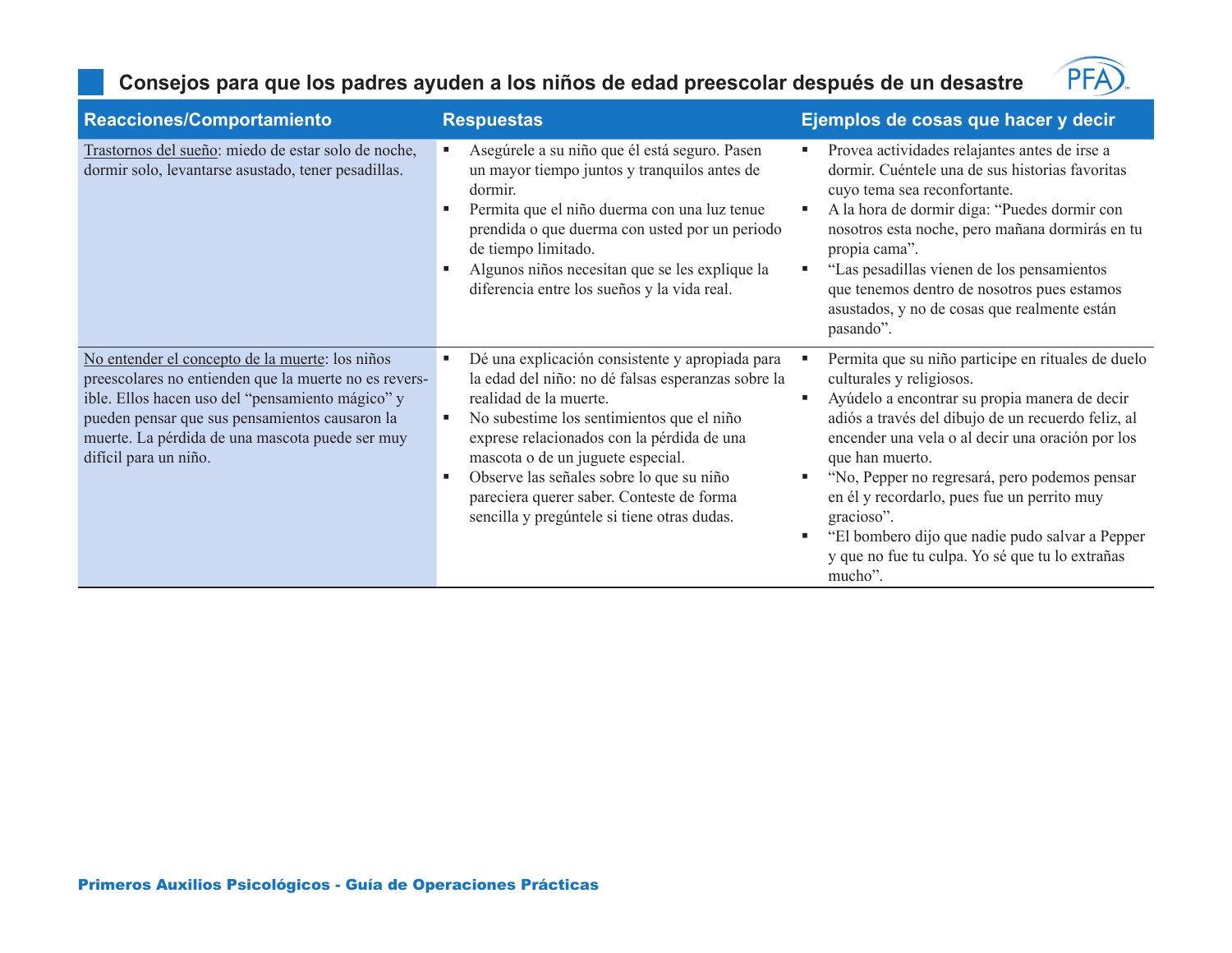### **Consejos para que los padres ayuden a los niños de edad preescolar después de un desastre**



| Reacciones/Comportamiento                                                                                                                                                                                                                                                                  | <b>Respuestas</b>                                                                                                                                                                                                                                                                                                                                                                                                 | Ejemplos de cosas que hacer y decir                                                                                                                                                                                                                                                                                                                                                                                                                                                              |
|--------------------------------------------------------------------------------------------------------------------------------------------------------------------------------------------------------------------------------------------------------------------------------------------|-------------------------------------------------------------------------------------------------------------------------------------------------------------------------------------------------------------------------------------------------------------------------------------------------------------------------------------------------------------------------------------------------------------------|--------------------------------------------------------------------------------------------------------------------------------------------------------------------------------------------------------------------------------------------------------------------------------------------------------------------------------------------------------------------------------------------------------------------------------------------------------------------------------------------------|
| Trastornos del sueño: miedo de estar solo de noche,<br>dormir solo, levantarse asustado, tener pesadillas.                                                                                                                                                                                 | Asegúrele a su niño que él está seguro. Pasen<br>un mayor tiempo juntos y tranquilos antes de<br>dormir.<br>Permita que el niño duerma con una luz tenue<br>prendida o que duerma con usted por un periodo<br>de tiempo limitado.<br>Algunos niños necesitan que se les explique la<br>diferencia entre los sueños y la vida real.                                                                                | Provea actividades relajantes antes de irse a<br>dormir. Cuéntele una de sus historias favoritas<br>cuyo tema sea reconfortante.<br>A la hora de dormir diga: "Puedes dormir con<br>p<br>nosotros esta noche, pero mañana dormirás en tu<br>propia cama".<br>"Las pesadillas vienen de los pensamientos<br>que tenemos dentro de nosotros pues estamos<br>asustados, y no de cosas que realmente están<br>pasando".                                                                              |
| No entender el concepto de la muerte: los niños<br>preescolares no entienden que la muerte no es revers-<br>ible. Ellos hacen uso del "pensamiento mágico" y<br>pueden pensar que sus pensamientos causaron la<br>muerte. La pérdida de una mascota puede ser muy<br>difícil para un niño. | Dé una explicación consistente y apropiada para<br>п<br>la edad del niño: no dé falsas esperanzas sobre la<br>realidad de la muerte.<br>No subestime los sentimientos que el niño<br>exprese relacionados con la pérdida de una<br>mascota o de un juguete especial.<br>Observe las señales sobre lo que su niño<br>п<br>pareciera querer saber. Conteste de forma<br>sencilla y pregúntele si tiene otras dudas. | Permita que su niño participe en rituales de duelo<br>culturales y religiosos.<br>Ayúdelo a encontrar su propia manera de decir<br>adiós a través del dibujo de un recuerdo feliz, al<br>encender una vela o al decir una oración por los<br>que han muerto.<br>"No, Pepper no regresará, pero podemos pensar<br>en él y recordarlo, pues fue un perrito muy<br>gracioso".<br>"El bombero dijo que nadie pudo salvar a Pepper<br>л<br>y que no fue tu culpa. Yo sé que tu lo extrañas<br>mucho". |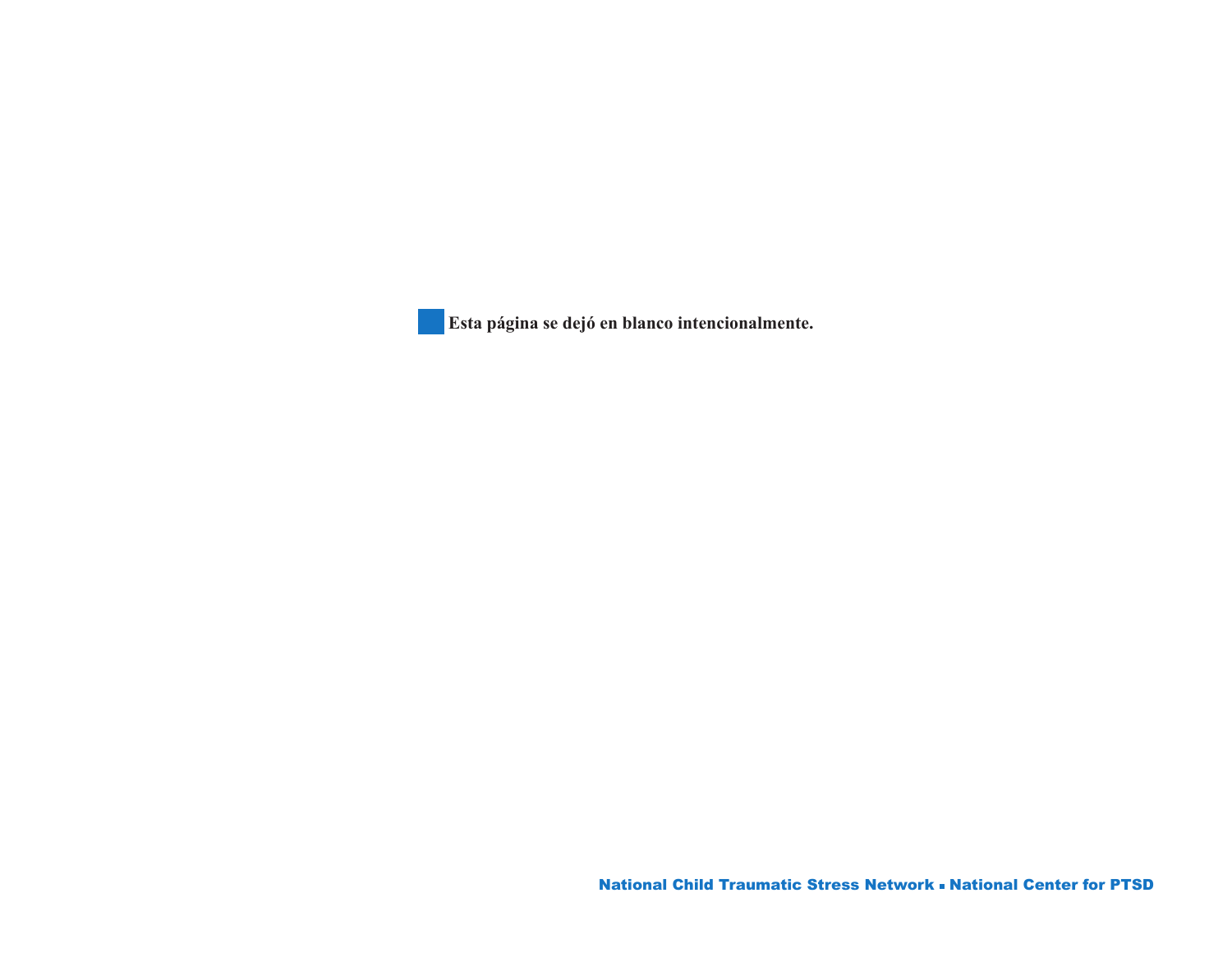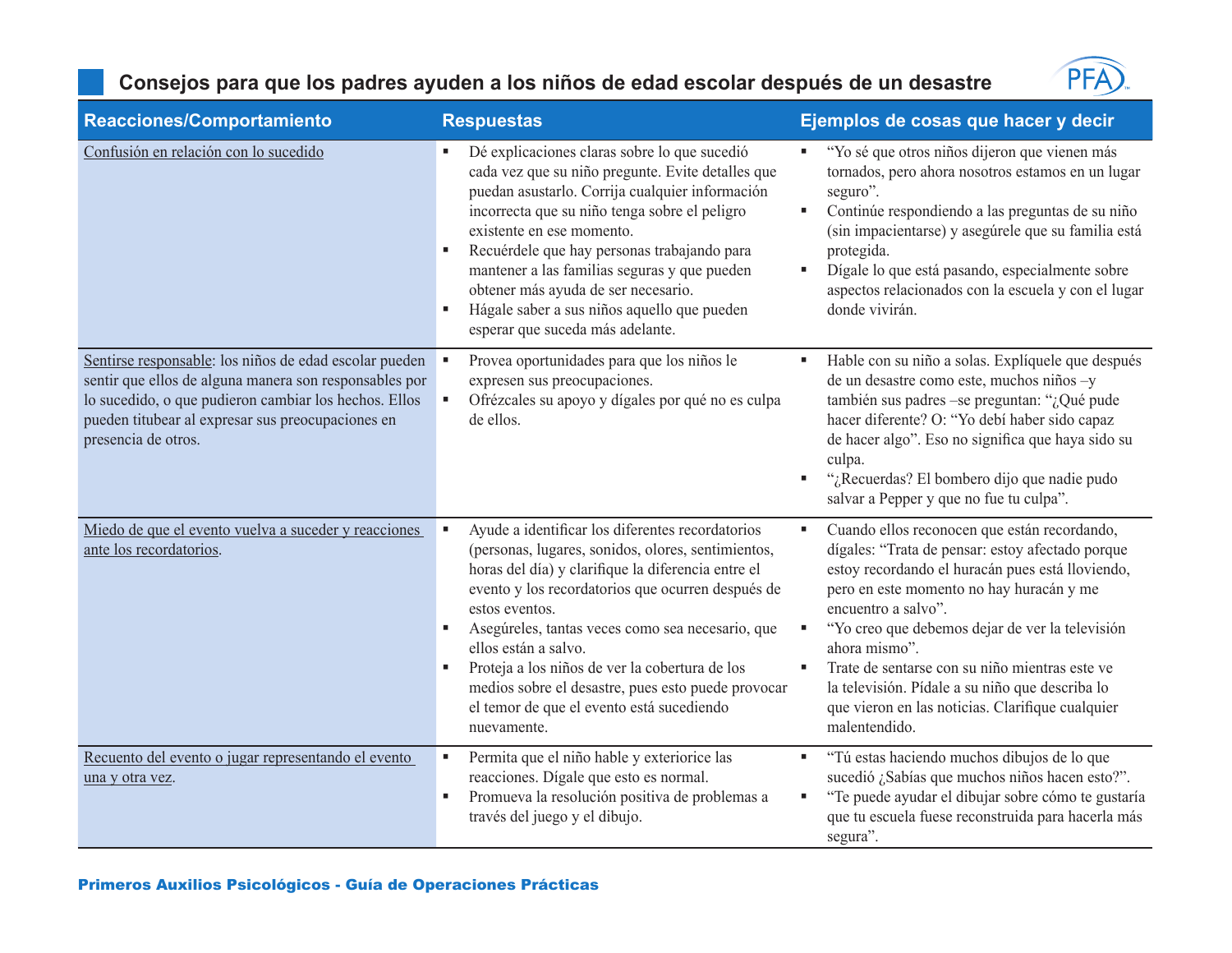#### **Consejos para que los padres ayuden a los niños de edad escolar después de un desastre**



| Reacciones/Comportamiento                                                                                                                                                                                                                             | <b>Respuestas</b>                                                                                                                                                                                                                                                                                                                                                                                                                                                                   | Ejemplos de cosas que hacer y decir                                                                                                                                                                                                                                                                                                                                                                                                                                                  |
|-------------------------------------------------------------------------------------------------------------------------------------------------------------------------------------------------------------------------------------------------------|-------------------------------------------------------------------------------------------------------------------------------------------------------------------------------------------------------------------------------------------------------------------------------------------------------------------------------------------------------------------------------------------------------------------------------------------------------------------------------------|--------------------------------------------------------------------------------------------------------------------------------------------------------------------------------------------------------------------------------------------------------------------------------------------------------------------------------------------------------------------------------------------------------------------------------------------------------------------------------------|
| Confusión en relación con lo sucedido                                                                                                                                                                                                                 | Dé explicaciones claras sobre lo que sucedió<br>cada vez que su niño pregunte. Evite detalles que<br>puedan asustarlo. Corrija cualquier información<br>incorrecta que su niño tenga sobre el peligro<br>existente en ese momento.<br>Recuérdele que hay personas trabajando para<br>п<br>mantener a las familias seguras y que pueden<br>obtener más ayuda de ser necesario.<br>Hágale saber a sus niños aquello que pueden<br>п<br>esperar que suceda más adelante.               | "Yo sé que otros niños dijeron que vienen más<br>٠<br>tornados, pero ahora nosotros estamos en un lugar<br>seguro".<br>Continúe respondiendo a las preguntas de su niño<br>٠<br>(sin impacientarse) y asegúrele que su familia está<br>protegida.<br>Dígale lo que está pasando, especialmente sobre<br>п<br>aspectos relacionados con la escuela y con el lugar<br>donde vivirán.                                                                                                   |
| Sentirse responsable: los niños de edad escolar pueden<br>sentir que ellos de alguna manera son responsables por<br>lo sucedido, o que pudieron cambiar los hechos. Ellos<br>pueden titubear al expresar sus preocupaciones en<br>presencia de otros. | Provea oportunidades para que los niños le<br>expresen sus preocupaciones.<br>Ofrézcales su apoyo y dígales por qué no es culpa<br>de ellos.                                                                                                                                                                                                                                                                                                                                        | Hable con su niño a solas. Explíquele que después<br>п<br>de un desastre como este, muchos niños -y<br>también sus padres -se preguntan: "¿Qué pude<br>hacer diferente? O: "Yo debí haber sido capaz<br>de hacer algo". Eso no significa que haya sido su<br>culpa.<br>"¿Recuerdas? El bombero dijo que nadie pudo<br>٠<br>salvar a Pepper y que no fue tu culpa".                                                                                                                   |
| Miedo de que el evento vuelva a suceder y reacciones<br>ante los recordatorios.                                                                                                                                                                       | Ayude a identificar los diferentes recordatorios<br>(personas, lugares, sonidos, olores, sentimientos,<br>horas del día) y clarifique la diferencia entre el<br>evento y los recordatorios que ocurren después de<br>estos eventos.<br>Asegúreles, tantas veces como sea necesario, que<br>ellos están a salvo.<br>Proteja a los niños de ver la cobertura de los<br>medios sobre el desastre, pues esto puede provocar<br>el temor de que el evento está sucediendo<br>nuevamente. | Cuando ellos reconocen que están recordando,<br>٠<br>dígales: "Trata de pensar: estoy afectado porque<br>estoy recordando el huracán pues está lloviendo,<br>pero en este momento no hay huracán y me<br>encuentro a salvo".<br>"Yo creo que debemos dejar de ver la televisión<br>٠<br>ahora mismo".<br>Trate de sentarse con su niño mientras este ve<br>٠<br>la televisión. Pídale a su niño que describa lo<br>que vieron en las noticias. Clarifique cualquier<br>malentendido. |
| Recuento del evento o jugar representando el evento<br>una y otra vez.                                                                                                                                                                                | Permita que el niño hable y exteriorice las<br>×<br>reacciones. Dígale que esto es normal.<br>Promueva la resolución positiva de problemas a<br>×<br>través del juego y el dibujo.                                                                                                                                                                                                                                                                                                  | "Tú estas haciendo muchos dibujos de lo que<br>٠<br>sucedió ¿Sabías que muchos niños hacen esto?".<br>"Te puede ayudar el dibujar sobre cómo te gustaría<br>٠<br>que tu escuela fuese reconstruida para hacerla más<br>segura".                                                                                                                                                                                                                                                      |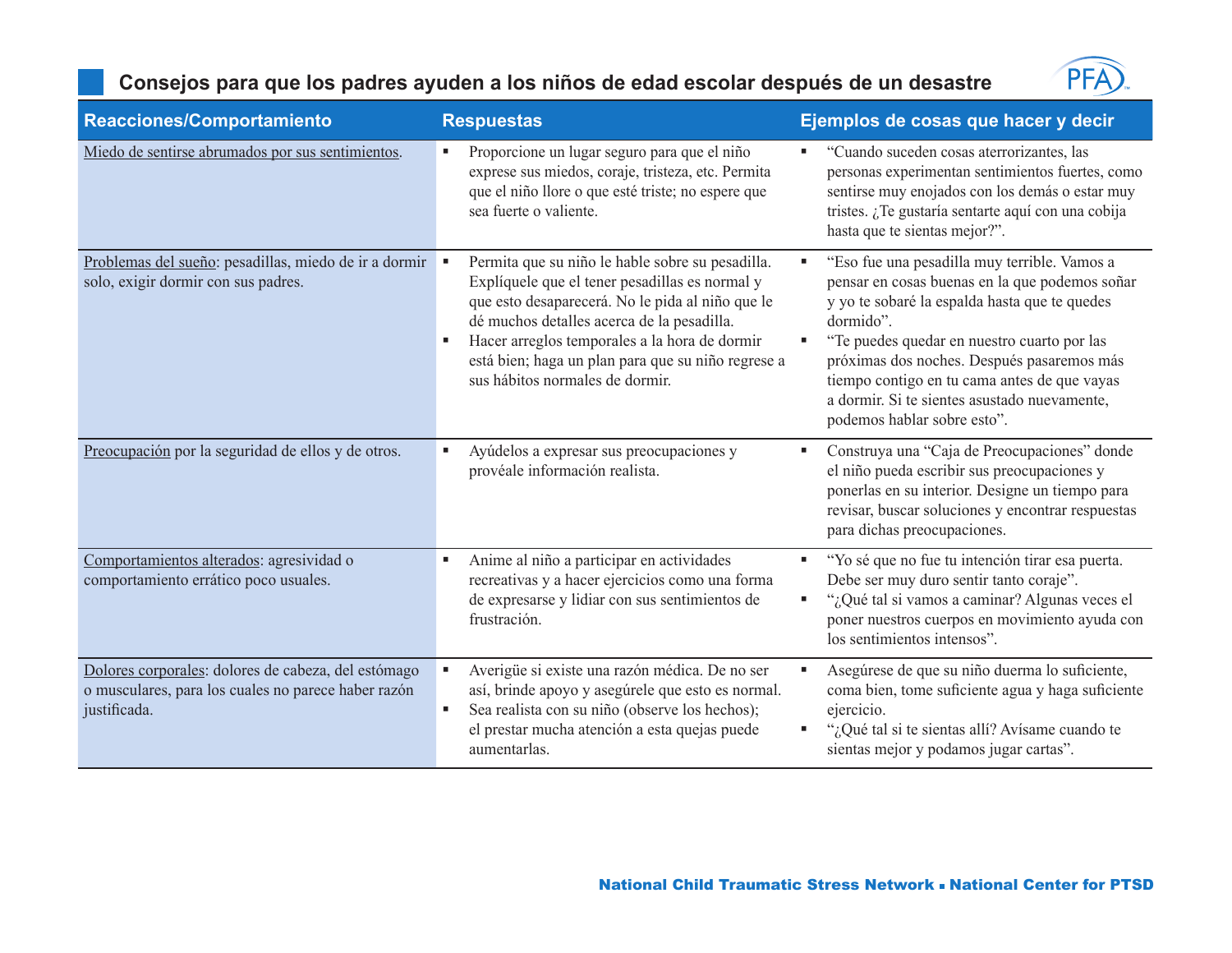### **Consejos para que los padres ayuden a los niños de edad escolar después de un desastre**



| Reacciones/Comportamiento                                                                                                  | <b>Respuestas</b>                                                                                                                                                                                                                                                                                                                              | Ejemplos de cosas que hacer y decir                                                                                                                                                                                                                                                                                                                                                           |
|----------------------------------------------------------------------------------------------------------------------------|------------------------------------------------------------------------------------------------------------------------------------------------------------------------------------------------------------------------------------------------------------------------------------------------------------------------------------------------|-----------------------------------------------------------------------------------------------------------------------------------------------------------------------------------------------------------------------------------------------------------------------------------------------------------------------------------------------------------------------------------------------|
| Miedo de sentirse abrumados por sus sentimientos.                                                                          | Proporcione un lugar seguro para que el niño<br>exprese sus miedos, coraje, tristeza, etc. Permita<br>que el niño llore o que esté triste; no espere que<br>sea fuerte o valiente.                                                                                                                                                             | "Cuando suceden cosas aterrorizantes, las<br>personas experimentan sentimientos fuertes, como<br>sentirse muy enojados con los demás o estar muy<br>tristes. ¿Te gustaría sentarte aquí con una cobija<br>hasta que te sientas mejor?".                                                                                                                                                       |
| Problemas del sueño: pesadillas, miedo de ir a dormir<br>solo, exigir dormir con sus padres.                               | Permita que su niño le hable sobre su pesadilla.<br>Explíquele que el tener pesadillas es normal y<br>que esto desaparecerá. No le pida al niño que le<br>dé muchos detalles acerca de la pesadilla.<br>Hacer arreglos temporales a la hora de dormir<br>está bien; haga un plan para que su niño regrese a<br>sus hábitos normales de dormir. | "Eso fue una pesadilla muy terrible. Vamos a<br>×<br>pensar en cosas buenas en la que podemos soñar<br>y yo te sobaré la espalda hasta que te quedes<br>dormido".<br>"Te puedes quedar en nuestro cuarto por las<br>próximas dos noches. Después pasaremos más<br>tiempo contigo en tu cama antes de que vayas<br>a dormir. Si te sientes asustado nuevamente,<br>podemos hablar sobre esto". |
| Preocupación por la seguridad de ellos y de otros.                                                                         | Ayúdelos a expresar sus preocupaciones y<br>provéale información realista.                                                                                                                                                                                                                                                                     | Construya una "Caja de Preocupaciones" donde<br>el niño pueda escribir sus preocupaciones y<br>ponerlas en su interior. Designe un tiempo para<br>revisar, buscar soluciones y encontrar respuestas<br>para dichas preocupaciones.                                                                                                                                                            |
| Comportamientos alterados: agresividad o<br>comportamiento errático poco usuales.                                          | Anime al niño a participar en actividades<br>recreativas y a hacer ejercicios como una forma<br>de expresarse y lidiar con sus sentimientos de<br>frustración.                                                                                                                                                                                 | "Yo sé que no fue tu intención tirar esa puerta.<br>٠<br>Debe ser muy duro sentir tanto coraje".<br>"¿Qué tal si vamos a caminar? Algunas veces el<br>٠<br>poner nuestros cuerpos en movimiento ayuda con<br>los sentimientos intensos".                                                                                                                                                      |
| Dolores corporales: dolores de cabeza, del estómago<br>o musculares, para los cuales no parece haber razón<br>justificada. | Averigüe si existe una razón médica. De no ser<br>así, brinde apoyo y asegúrele que esto es normal.<br>Sea realista con su niño (observe los hechos);<br>в<br>el prestar mucha atención a esta quejas puede<br>aumentarlas.                                                                                                                    | Asegúrese de que su niño duerma lo suficiente,<br>۸<br>coma bien, tome suficiente agua y haga suficiente<br>ejercicio.<br>"¿Qué tal si te sientas allí? Avísame cuando te<br>sientas mejor y podamos jugar cartas".                                                                                                                                                                           |